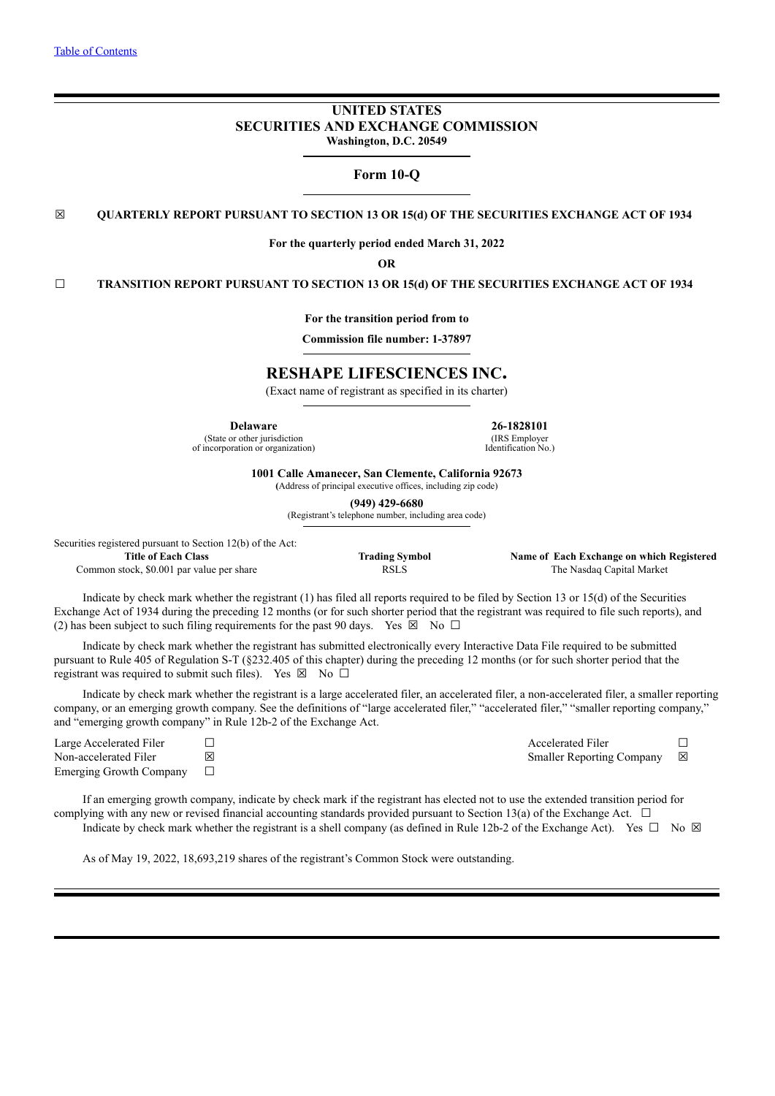# **UNITED STATES SECURITIES AND EXCHANGE COMMISSION Washington, D.C. 20549**

### **Form 10-Q**

☒ **QUARTERLY REPORT PURSUANT TO SECTION 13 OR 15(d) OF THE SECURITIES EXCHANGE ACT OF 1934**

**For the quarterly period ended March 31, 2022**

**OR**

☐ **TRANSITION REPORT PURSUANT TO SECTION 13 OR 15(d) OF THE SECURITIES EXCHANGE ACT OF 1934**

**For the transition period from to**

**Commission file number: 1-37897**

# **RESHAPE LIFESCIENCES INC.**

(Exact name of registrant as specified in its charter)

(State or other jurisdiction of incorporation or organization)

**Delaware 26-1828101** (IRS Employer Identification No.)

**1001 Calle Amanecer, San Clemente, California 92673**

**(**Address of principal executive offices, including zip code)

**(949) 429-6680**

(Registrant's telephone number, including area code)

Securities registered pursuant to Section 12(b) of the Act:

Common stock, \$0.001 par value per share RSLS RSLS The Nasdaq Capital Market

**Title of Each Class Trading Symbol Name of Each Exchange on which Registered**

Indicate by check mark whether the registrant (1) has filed all reports required to be filed by Section 13 or 15(d) of the Securities Exchange Act of 1934 during the preceding 12 months (or for such shorter period that the registrant was required to file such reports), and (2) has been subject to such filing requirements for the past 90 days. Yes  $\boxtimes$  No  $\Box$ 

Indicate by check mark whether the registrant has submitted electronically every Interactive Data File required to be submitted pursuant to Rule 405 of Regulation S-T (§232.405 of this chapter) during the preceding 12 months (or for such shorter period that the registrant was required to submit such files). Yes  $\boxtimes$  No  $\Box$ 

Indicate by check mark whether the registrant is a large accelerated filer, an accelerated filer, a non-accelerated filer, a smaller reporting company, or an emerging growth company. See the definitions of "large accelerated filer," "accelerated filer," "smaller reporting company," and "emerging growth company" in Rule 12b-2 of the Exchange Act.

Large Accelerated Filer ☐ Accelerated Filer ☐ Non-accelerated Filer ⊠ ⊠ Smaller Reporting Company ⊠ Emerging Growth Company  $\Box$ 

If an emerging growth company, indicate by check mark if the registrant has elected not to use the extended transition period for complying with any new or revised financial accounting standards provided pursuant to Section 13(a) of the Exchange Act.  $\Box$ Indicate by check mark whether the registrant is a shell company (as defined in Rule 12b-2 of the Exchange Act). Yes  $\Box$  No  $\boxtimes$ 

As of May 19, 2022, 18,693,219 shares of the registrant's Common Stock were outstanding.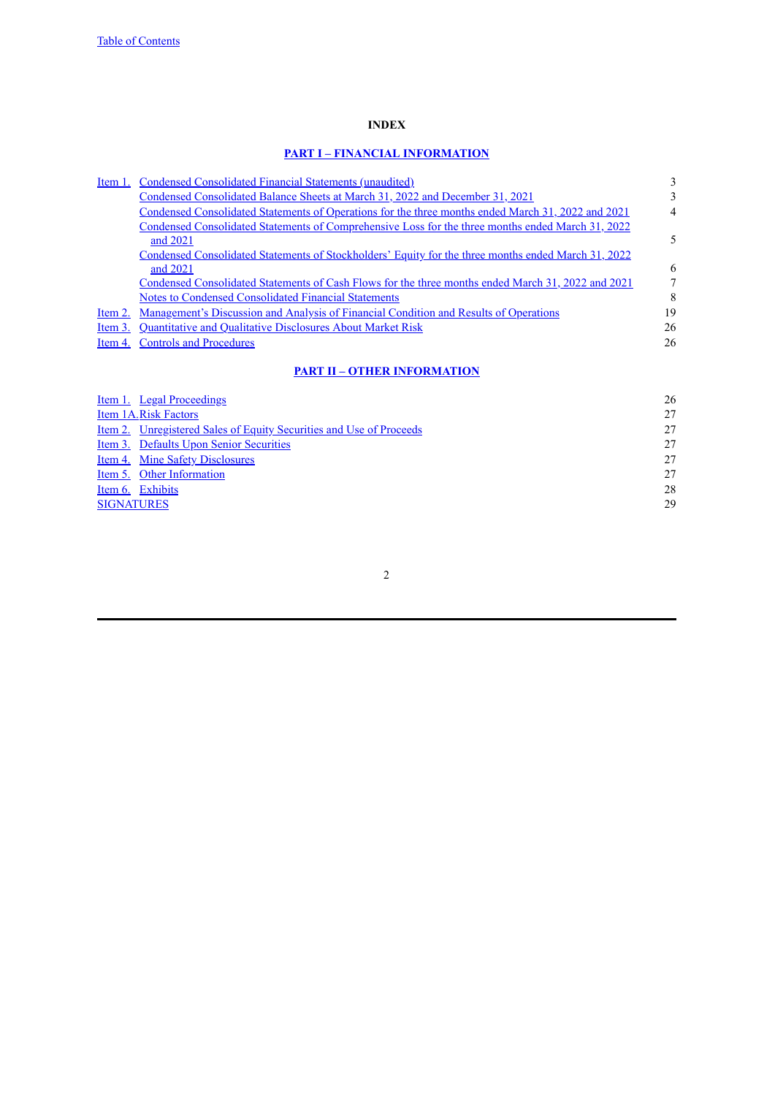# **INDEX**

# **PART I – FINANCIAL [INFORMATION](#page-2-0)**

<span id="page-1-0"></span>

| Item 1. | <b>Condensed Consolidated Financial Statements (unaudited)</b>                                      | 3              |
|---------|-----------------------------------------------------------------------------------------------------|----------------|
|         | Condensed Consolidated Balance Sheets at March 31, 2022 and December 31, 2021                       |                |
|         | Condensed Consolidated Statements of Operations for the three months ended March 31, 2022 and 2021  | $\overline{4}$ |
|         | Condensed Consolidated Statements of Comprehensive Loss for the three months ended March 31, 2022   |                |
|         | and 2021                                                                                            | 5.             |
|         | Condensed Consolidated Statements of Stockholders' Equity for the three months ended March 31, 2022 |                |
|         | and 2021                                                                                            | 6              |
|         | Condensed Consolidated Statements of Cash Flows for the three months ended March 31, 2022 and 2021  |                |
|         | Notes to Condensed Consolidated Financial Statements                                                | 8              |
| Item 2. | <u>Management's Discussion and Analysis of Financial Condition and Results of Operations</u>        | 19             |
| Item 3. | Quantitative and Qualitative Disclosures About Market Risk                                          | 26             |
| Item 4. | <b>Controls and Procedures</b>                                                                      | 26             |
|         |                                                                                                     |                |

# **PART II – OTHER [INFORMATION](#page-25-2)**

| Item 1. Legal Proceedings                                           | 26 |
|---------------------------------------------------------------------|----|
| <b>Item 1A.Risk Factors</b>                                         | 27 |
| Item 2. Unregistered Sales of Equity Securities and Use of Proceeds | 27 |
| Item 3. Defaults Upon Senior Securities                             | 27 |
| <u>Item 4. Mine Safety Disclosures</u>                              | 27 |
| Item 5. Other Information                                           | 27 |
| Item 6. Exhibits                                                    | 28 |
| <b>SIGNATURES</b>                                                   | 29 |
|                                                                     |    |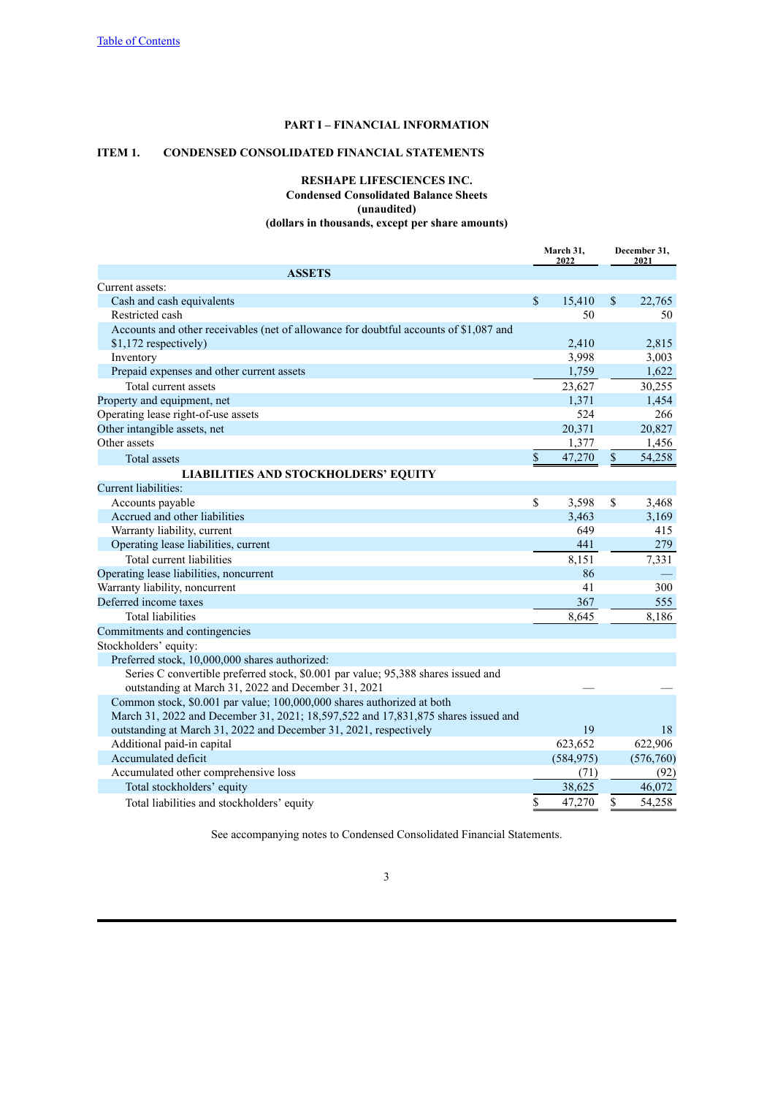# **PART I – FINANCIAL INFORMATION**

# <span id="page-2-2"></span><span id="page-2-1"></span><span id="page-2-0"></span>**ITEM 1. CONDENSED CONSOLIDATED FINANCIAL STATEMENTS**

## **RESHAPE LIFESCIENCES INC.**

**Condensed Consolidated Balance Sheets (unaudited)**

# **(dollars in thousands, except per share amounts)**

|                                                                                       | March 31,<br>2022  |            |             | December 31,<br>2021 |
|---------------------------------------------------------------------------------------|--------------------|------------|-------------|----------------------|
| <b>ASSETS</b>                                                                         |                    |            |             |                      |
| Current assets:                                                                       |                    |            |             |                      |
| Cash and cash equivalents                                                             | $\mathbf{\hat{S}}$ | 15.410     | $\mathbf S$ | 22.765               |
| Restricted cash                                                                       |                    | 50         |             | 50                   |
| Accounts and other receivables (net of allowance for doubtful accounts of \$1,087 and |                    |            |             |                      |
| \$1,172 respectively)                                                                 |                    | 2,410      |             | 2,815                |
| Inventory                                                                             |                    | 3,998      |             | 3,003                |
| Prepaid expenses and other current assets                                             |                    | 1,759      |             | 1,622                |
| Total current assets                                                                  |                    | 23,627     |             | 30,255               |
| Property and equipment, net                                                           |                    | 1,371      |             | 1,454                |
| Operating lease right-of-use assets                                                   |                    | 524        |             | 266                  |
| Other intangible assets, net                                                          |                    | 20,371     |             | 20,827               |
| Other assets                                                                          |                    | 1,377      |             | 1,456                |
| <b>Total assets</b>                                                                   | \$                 | 47,270     | \$          | 54,258               |
| <b>LIABILITIES AND STOCKHOLDERS' EQUITY</b>                                           |                    |            |             |                      |
| Current liabilities:                                                                  |                    |            |             |                      |
| Accounts payable                                                                      | \$                 | 3,598      | \$          | 3,468                |
| Accrued and other liabilities                                                         |                    | 3,463      |             | 3,169                |
| Warranty liability, current                                                           |                    | 649        |             | 415                  |
| Operating lease liabilities, current                                                  |                    | 441        |             | 279                  |
| Total current liabilities                                                             |                    | 8,151      |             | 7,331                |
| Operating lease liabilities, noncurrent                                               |                    | 86         |             |                      |
| Warranty liability, noncurrent                                                        |                    | 41         |             | 300                  |
| Deferred income taxes                                                                 |                    | 367        |             | 555                  |
| <b>Total liabilities</b>                                                              |                    | 8,645      |             | 8,186                |
| Commitments and contingencies                                                         |                    |            |             |                      |
| Stockholders' equity:                                                                 |                    |            |             |                      |
| Preferred stock, 10,000,000 shares authorized:                                        |                    |            |             |                      |
| Series C convertible preferred stock, \$0.001 par value; 95,388 shares issued and     |                    |            |             |                      |
| outstanding at March 31, 2022 and December 31, 2021                                   |                    |            |             |                      |
| Common stock, \$0.001 par value; 100,000,000 shares authorized at both                |                    |            |             |                      |
| March 31, 2022 and December 31, 2021; 18,597,522 and 17,831,875 shares issued and     |                    |            |             |                      |
| outstanding at March 31, 2022 and December 31, 2021, respectively                     |                    | 19         |             | 18                   |
| Additional paid-in capital                                                            |                    | 623,652    |             | 622,906              |
| Accumulated deficit                                                                   |                    | (584, 975) |             | (576, 760)           |
| Accumulated other comprehensive loss                                                  |                    | (71)       |             | (92)                 |
| Total stockholders' equity                                                            |                    | 38,625     |             | 46,072               |
| Total liabilities and stockholders' equity                                            | \$                 | 47,270     | \$          | 54,258               |

See accompanying notes to Condensed Consolidated Financial Statements.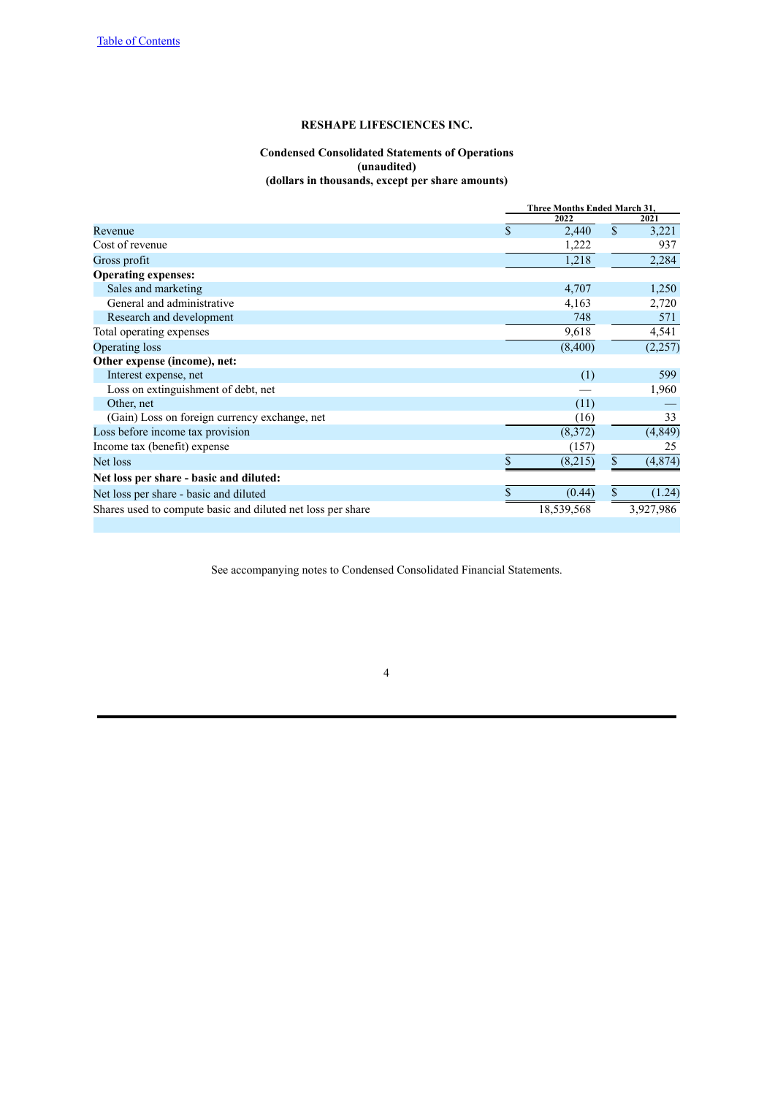### **Condensed Consolidated Statements of Operations (unaudited) (dollars in thousands, except per share amounts)**

<span id="page-3-0"></span>

|                                                             | Three Months Ended March 31, |             |           |  |  |
|-------------------------------------------------------------|------------------------------|-------------|-----------|--|--|
|                                                             | 2022                         |             | 2021      |  |  |
| Revenue                                                     | \$<br>2,440                  | \$          | 3,221     |  |  |
| Cost of revenue                                             | 1,222                        |             | 937       |  |  |
| Gross profit                                                | 1,218                        |             | 2,284     |  |  |
| <b>Operating expenses:</b>                                  |                              |             |           |  |  |
| Sales and marketing                                         | 4,707                        |             | 1,250     |  |  |
| General and administrative                                  | 4,163                        |             | 2,720     |  |  |
| Research and development                                    | 748                          |             | 571       |  |  |
| Total operating expenses                                    | 9,618                        |             | 4,541     |  |  |
| Operating loss                                              | (8,400)                      |             | (2,257)   |  |  |
| Other expense (income), net:                                |                              |             |           |  |  |
| Interest expense, net                                       | (1)                          |             | 599       |  |  |
| Loss on extinguishment of debt, net                         |                              |             | 1,960     |  |  |
| Other, net                                                  | (11)                         |             |           |  |  |
| (Gain) Loss on foreign currency exchange, net               | (16)                         |             | 33        |  |  |
| Loss before income tax provision                            | (8,372)                      |             | (4, 849)  |  |  |
| Income tax (benefit) expense                                | (157)                        |             | 25        |  |  |
| Net loss                                                    | (8,215)                      | \$          | (4, 874)  |  |  |
| Net loss per share - basic and diluted:                     |                              |             |           |  |  |
| Net loss per share - basic and diluted                      | (0.44)                       | $\mathbf S$ | (1.24)    |  |  |
| Shares used to compute basic and diluted net loss per share | 18,539,568                   |             | 3,927,986 |  |  |
|                                                             |                              |             |           |  |  |

See accompanying notes to Condensed Consolidated Financial Statements.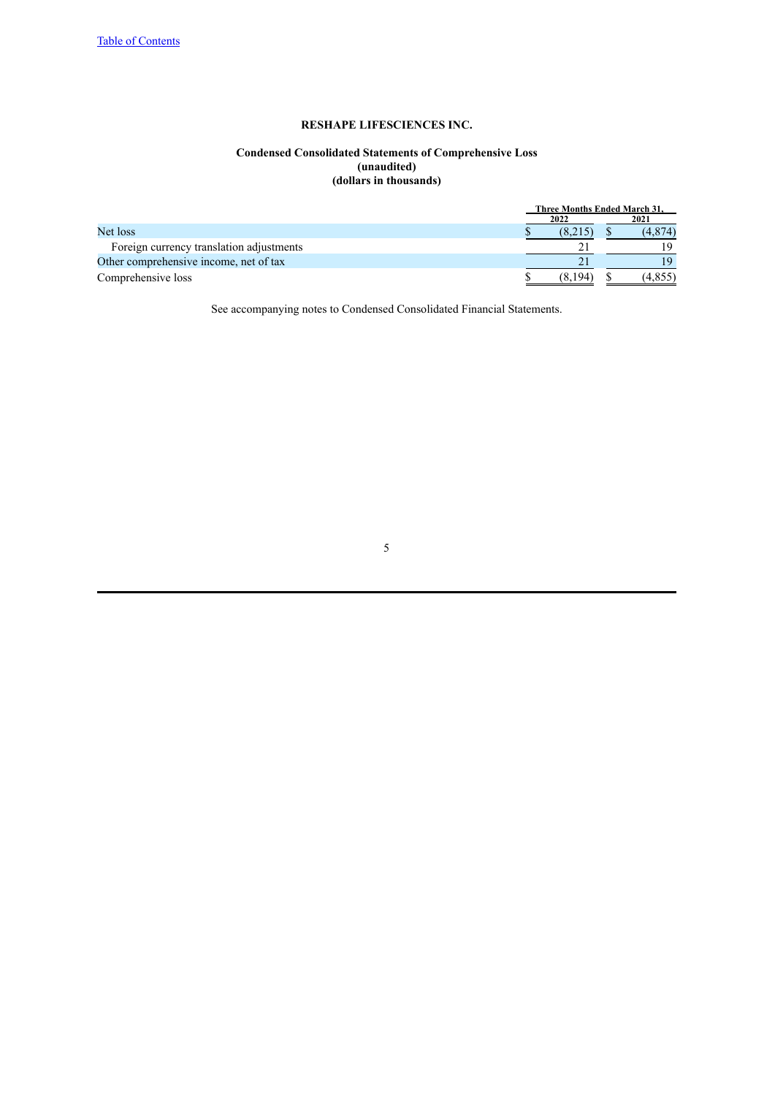#### **Condensed Consolidated Statements of Comprehensive Loss (unaudited) (dollars in thousands)**

<span id="page-4-0"></span>

|                                          | Three Months Ended March 31, |  |         |  |
|------------------------------------------|------------------------------|--|---------|--|
|                                          | 2022                         |  | 2021    |  |
| Net loss                                 |                              |  | (4.874) |  |
| Foreign currency translation adjustments |                              |  | 19      |  |
| Other comprehensive income, net of tax   |                              |  | 19      |  |
| Comprehensive loss                       | (8.194)                      |  | (4,855) |  |

See accompanying notes to Condensed Consolidated Financial Statements.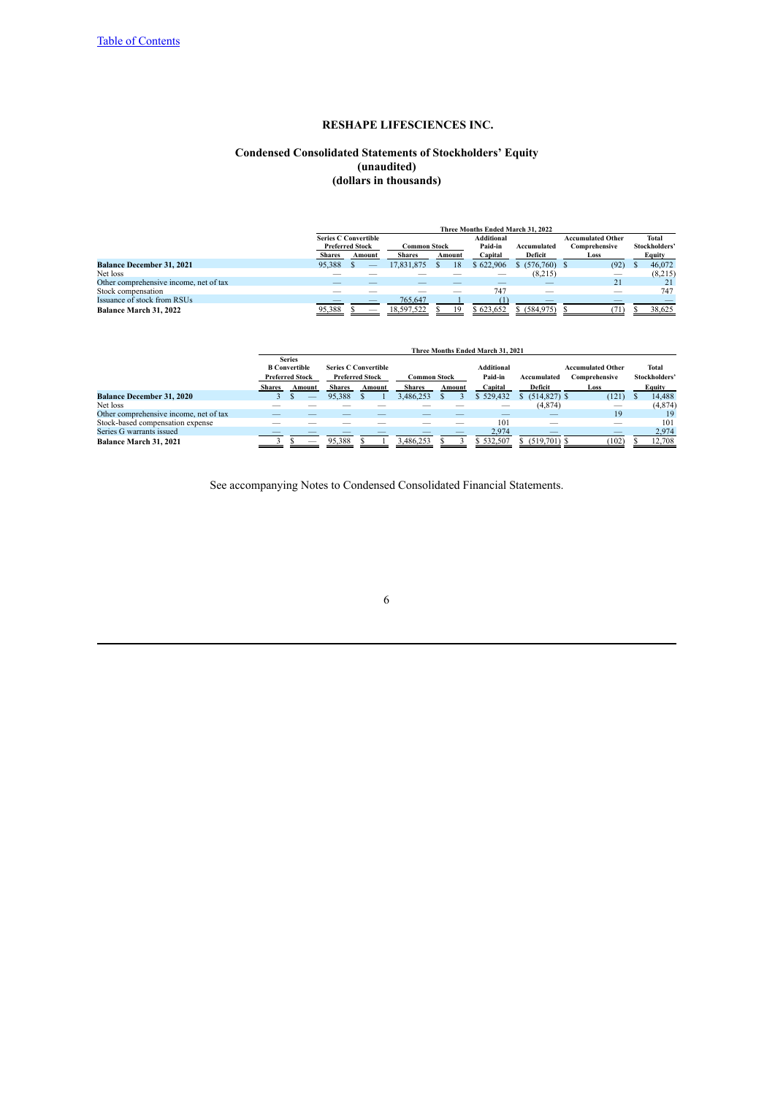### **Condensed Consolidated Statements of Stockholders' Equity (unaudited) (dollars in thousands)**

<span id="page-5-0"></span>

|                                        | Three Months Ended March 31, 2022                     |        |                                              |                          |           |                          |                        |  |         |
|----------------------------------------|-------------------------------------------------------|--------|----------------------------------------------|--------------------------|-----------|--------------------------|------------------------|--|---------|
|                                        | <b>Series C Convertible</b><br><b>Preferred Stock</b> |        | <b>Additional</b><br>Paid-in<br>Common Stock |                          |           | Accumulated              | Total<br>Stockholders' |  |         |
|                                        | <b>Shares</b>                                         | Amount | <b>Shares</b>                                | Amount                   | Capital   | Deficit                  | Comprehensive<br>Loss  |  | Equity  |
| <b>Balance December 31, 2021</b>       | 95.388                                                |        | 17.831.875                                   | 18                       | \$622,906 | \$ (576.760) \$          | (92)                   |  | 46,072  |
| Net loss                               |                                                       |        |                                              |                          |           | (8,215)                  |                        |  | (8,215) |
| Other comprehensive income, net of tax |                                                       |        |                                              |                          |           |                          | 21                     |  | 21      |
| Stock compensation                     |                                                       |        |                                              | $\overline{\phantom{a}}$ | 747       | $\overline{\phantom{a}}$ |                        |  | 747     |
| Issuance of stock from RSUs            |                                                       |        | 765.647                                      |                          |           |                          |                        |  |         |
| <b>Balance March 31, 2022</b>          | 95,388                                                |        | 18.597.522                                   | 19                       | \$623.652 | \$ (584.975)             |                        |  | 38.625  |

|                                        |               | Three Months Ended March 31, 2021                               |               |                                                       |               |        |                              |                 |                                           |  |                               |
|----------------------------------------|---------------|-----------------------------------------------------------------|---------------|-------------------------------------------------------|---------------|--------|------------------------------|-----------------|-------------------------------------------|--|-------------------------------|
|                                        |               | <b>Series</b><br><b>B</b> Convertible<br><b>Preferred Stock</b> |               | <b>Series C Convertible</b><br><b>Preferred Stock</b> | Common Stock  |        | <b>Additional</b><br>Paid-in | Accumulated     | <b>Accumulated Other</b><br>Comprehensive |  | <b>Total</b><br>Stockholders' |
|                                        | <b>Shares</b> | Amount                                                          | <b>Shares</b> | Amount                                                | <b>Shares</b> | Amount | Capital                      | Deficit         | Loss                                      |  | Equity                        |
| <b>Balance December 31, 2020</b>       |               |                                                                 | 95.388        |                                                       | 3.486.253     |        | \$529.432                    | $$(514.827)$ \$ | (121)                                     |  | 14.488                        |
| Net loss                               |               |                                                                 |               |                                                       |               |        |                              | (4, 874)        |                                           |  | (4,874)                       |
| Other comprehensive income, net of tax |               |                                                                 |               |                                                       |               |        |                              |                 | 19                                        |  | 19                            |
| Stock-based compensation expense       |               |                                                                 |               |                                                       |               |        | 101                          |                 |                                           |  | 101                           |
| Series G warrants issued               |               |                                                                 |               |                                                       |               |        | 2,974                        |                 |                                           |  | 2,974                         |
| <b>Balance March 31, 2021</b>          |               |                                                                 | 95,388        |                                                       | 3,486,253     |        | \$532.507                    | $$(519.701)$ \$ | (102)                                     |  | 12,708                        |

See accompanying Notes to Condensed Consolidated Financial Statements.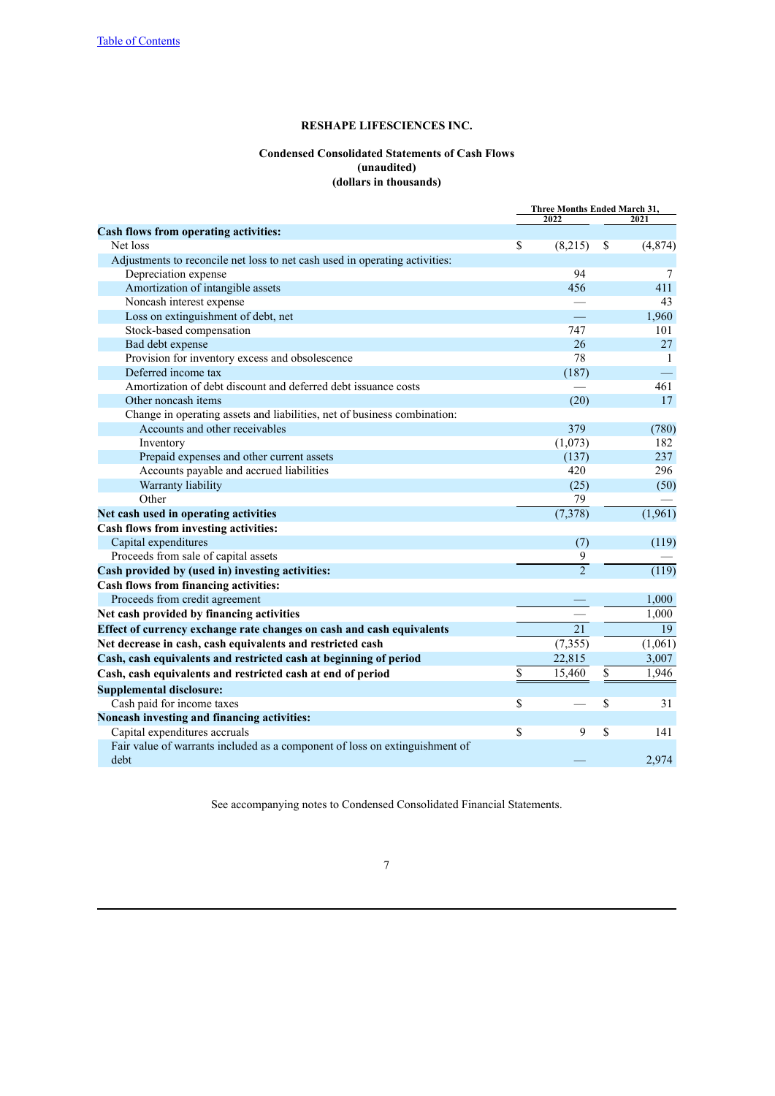## **Condensed Consolidated Statements of Cash Flows (unaudited) (dollars in thousands)**

<span id="page-6-0"></span>

|                                                                                     | Three Months Ended March 31, |                 |                 |          |
|-------------------------------------------------------------------------------------|------------------------------|-----------------|-----------------|----------|
|                                                                                     |                              | 2022            |                 | 2021     |
| <b>Cash flows from operating activities:</b>                                        |                              |                 |                 |          |
| Net loss                                                                            | \$                           | (8,215)         | S               | (4, 874) |
| Adjustments to reconcile net loss to net cash used in operating activities:         |                              |                 |                 |          |
| Depreciation expense                                                                |                              | 94              |                 | 7        |
| Amortization of intangible assets                                                   |                              | 456             |                 | 411      |
| Noncash interest expense                                                            |                              |                 |                 | 43       |
| Loss on extinguishment of debt, net                                                 |                              |                 |                 | 1,960    |
| Stock-based compensation                                                            |                              | 747             |                 | 101      |
| Bad debt expense                                                                    |                              | 26              |                 | 27       |
| Provision for inventory excess and obsolescence                                     |                              | 78              |                 | -1       |
| Deferred income tax                                                                 |                              | (187)           |                 | $\equiv$ |
| Amortization of debt discount and deferred debt issuance costs                      |                              |                 |                 | 461      |
| Other noncash items                                                                 |                              | (20)            |                 | 17       |
| Change in operating assets and liabilities, net of business combination:            |                              |                 |                 |          |
| Accounts and other receivables                                                      |                              | 379             |                 | (780)    |
| Inventory                                                                           |                              | (1,073)         |                 | 182      |
| Prepaid expenses and other current assets                                           |                              | (137)           |                 | 237      |
| Accounts payable and accrued liabilities                                            |                              | 420             |                 | 296      |
| Warranty liability                                                                  |                              | (25)            |                 | (50)     |
| Other                                                                               |                              | 79              |                 |          |
| Net cash used in operating activities                                               |                              | (7,378)         |                 | (1,961)  |
| Cash flows from investing activities:                                               |                              |                 |                 |          |
| Capital expenditures                                                                |                              | (7)             |                 | (119)    |
| Proceeds from sale of capital assets                                                |                              | 9               |                 |          |
| Cash provided by (used in) investing activities:                                    |                              | $\overline{2}$  |                 | (119)    |
| Cash flows from financing activities:                                               |                              |                 |                 |          |
| Proceeds from credit agreement                                                      |                              |                 |                 | 1,000    |
| Net cash provided by financing activities                                           |                              |                 |                 | 1,000    |
| Effect of currency exchange rate changes on cash and cash equivalents               |                              | $\overline{21}$ |                 | 19       |
| Net decrease in cash, cash equivalents and restricted cash                          |                              | (7,355)         |                 | (1,061)  |
| Cash, cash equivalents and restricted cash at beginning of period                   |                              | 22,815          |                 | 3,007    |
| Cash, cash equivalents and restricted cash at end of period                         | \$                           | 15,460          | $\overline{\$}$ | 1,946    |
|                                                                                     |                              |                 |                 |          |
| <b>Supplemental disclosure:</b>                                                     |                              |                 |                 |          |
| Cash paid for income taxes                                                          | \$                           |                 | \$              | 31       |
| Noncash investing and financing activities:                                         |                              |                 |                 |          |
| Capital expenditures accruals                                                       | \$                           | 9               | \$              | 141      |
| Fair value of warrants included as a component of loss on extinguishment of<br>debt |                              |                 |                 | 2,974    |

See accompanying notes to Condensed Consolidated Financial Statements.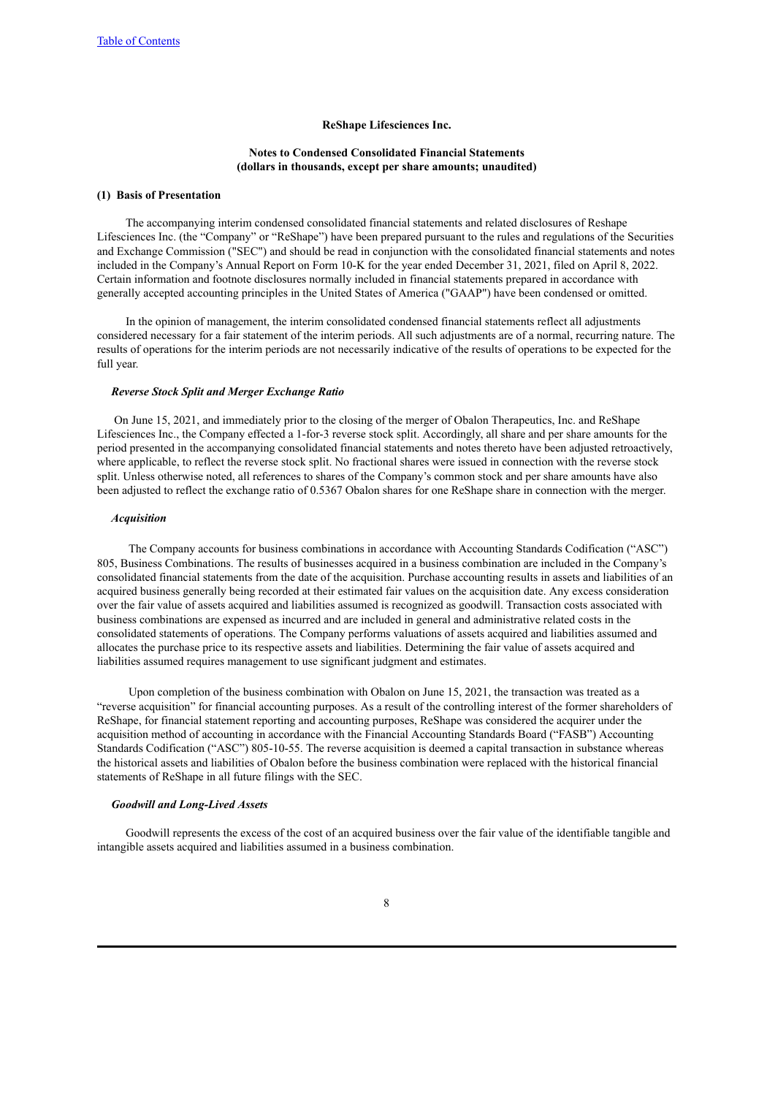### **ReShape Lifesciences Inc.**

#### **Notes to Condensed Consolidated Financial Statements (dollars in thousands, except per share amounts; unaudited)**

#### <span id="page-7-0"></span>**(1) Basis of Presentation**

The accompanying interim condensed consolidated financial statements and related disclosures of Reshape Lifesciences Inc. (the "Company" or "ReShape") have been prepared pursuant to the rules and regulations of the Securities and Exchange Commission ("SEC") and should be read in conjunction with the consolidated financial statements and notes included in the Company's Annual Report on Form 10-K for the year ended December 31, 2021, filed on April 8, 2022. Certain information and footnote disclosures normally included in financial statements prepared in accordance with generally accepted accounting principles in the United States of America ("GAAP") have been condensed or omitted.

In the opinion of management, the interim consolidated condensed financial statements reflect all adjustments considered necessary for a fair statement of the interim periods. All such adjustments are of a normal, recurring nature. The results of operations for the interim periods are not necessarily indicative of the results of operations to be expected for the full year.

#### *Reverse Stock Split and Merger Exchange Ratio*

On June 15, 2021, and immediately prior to the closing of the merger of Obalon Therapeutics, Inc. and ReShape Lifesciences Inc., the Company effected a 1-for-3 reverse stock split. Accordingly, all share and per share amounts for the period presented in the accompanying consolidated financial statements and notes thereto have been adjusted retroactively, where applicable, to reflect the reverse stock split. No fractional shares were issued in connection with the reverse stock split. Unless otherwise noted, all references to shares of the Company's common stock and per share amounts have also been adjusted to reflect the exchange ratio of 0.5367 Obalon shares for one ReShape share in connection with the merger.

#### *Acquisition*

The Company accounts for business combinations in accordance with Accounting Standards Codification ("ASC") 805, Business Combinations. The results of businesses acquired in a business combination are included in the Company's consolidated financial statements from the date of the acquisition. Purchase accounting results in assets and liabilities of an acquired business generally being recorded at their estimated fair values on the acquisition date. Any excess consideration over the fair value of assets acquired and liabilities assumed is recognized as goodwill. Transaction costs associated with business combinations are expensed as incurred and are included in general and administrative related costs in the consolidated statements of operations. The Company performs valuations of assets acquired and liabilities assumed and allocates the purchase price to its respective assets and liabilities. Determining the fair value of assets acquired and liabilities assumed requires management to use significant judgment and estimates.

Upon completion of the business combination with Obalon on June 15, 2021, the transaction was treated as a "reverse acquisition" for financial accounting purposes. As a result of the controlling interest of the former shareholders of ReShape, for financial statement reporting and accounting purposes, ReShape was considered the acquirer under the acquisition method of accounting in accordance with the Financial Accounting Standards Board ("FASB") Accounting Standards Codification ("ASC") 805-10-55. The reverse acquisition is deemed a capital transaction in substance whereas the historical assets and liabilities of Obalon before the business combination were replaced with the historical financial statements of ReShape in all future filings with the SEC.

### *Goodwill and Long-Lived Assets*

Goodwill represents the excess of the cost of an acquired business over the fair value of the identifiable tangible and intangible assets acquired and liabilities assumed in a business combination.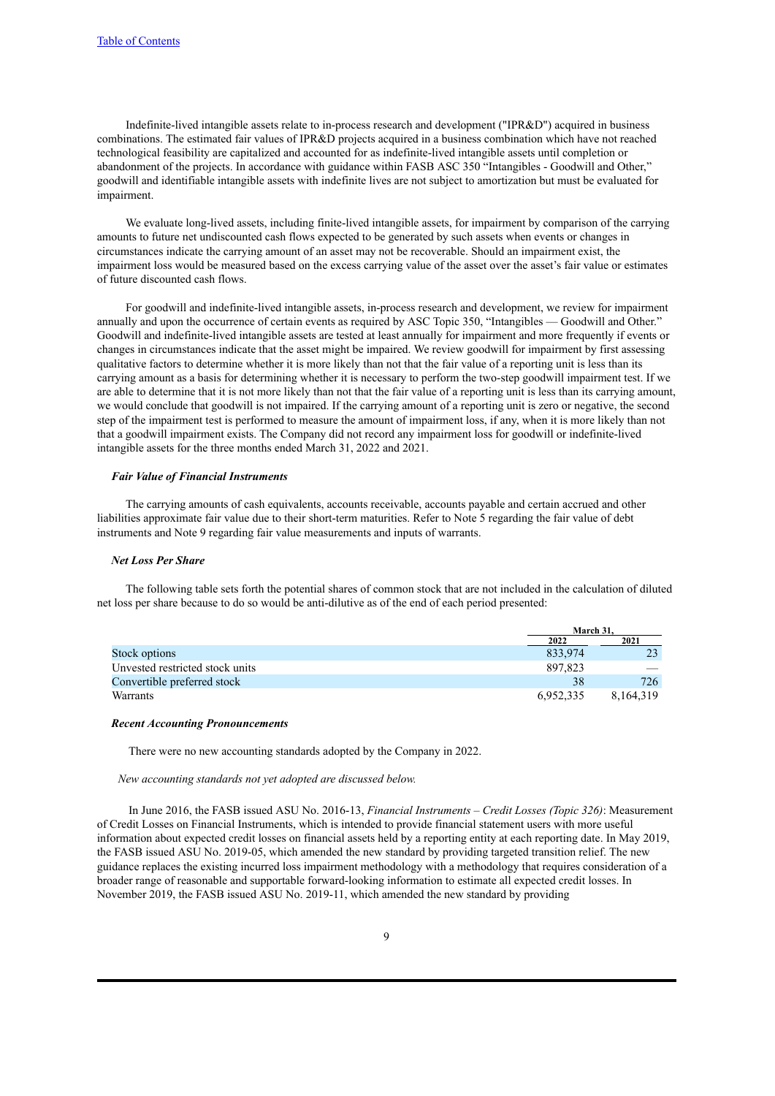Indefinite-lived intangible assets relate to in-process research and development ("IPR&D") acquired in business combinations. The estimated fair values of IPR&D projects acquired in a business combination which have not reached technological feasibility are capitalized and accounted for as indefinite-lived intangible assets until completion or abandonment of the projects. In accordance with guidance within FASB ASC 350 "Intangibles - Goodwill and Other," goodwill and identifiable intangible assets with indefinite lives are not subject to amortization but must be evaluated for impairment.

We evaluate long-lived assets, including finite-lived intangible assets, for impairment by comparison of the carrying amounts to future net undiscounted cash flows expected to be generated by such assets when events or changes in circumstances indicate the carrying amount of an asset may not be recoverable. Should an impairment exist, the impairment loss would be measured based on the excess carrying value of the asset over the asset's fair value or estimates of future discounted cash flows.

For goodwill and indefinite-lived intangible assets, in-process research and development, we review for impairment annually and upon the occurrence of certain events as required by ASC Topic 350, "Intangibles — Goodwill and Other." Goodwill and indefinite-lived intangible assets are tested at least annually for impairment and more frequently if events or changes in circumstances indicate that the asset might be impaired. We review goodwill for impairment by first assessing qualitative factors to determine whether it is more likely than not that the fair value of a reporting unit is less than its carrying amount as a basis for determining whether it is necessary to perform the two-step goodwill impairment test. If we are able to determine that it is not more likely than not that the fair value of a reporting unit is less than its carrying amount, we would conclude that goodwill is not impaired. If the carrying amount of a reporting unit is zero or negative, the second step of the impairment test is performed to measure the amount of impairment loss, if any, when it is more likely than not that a goodwill impairment exists. The Company did not record any impairment loss for goodwill or indefinite-lived intangible assets for the three months ended March 31, 2022 and 2021.

#### *Fair Value of Financial Instruments*

The carrying amounts of cash equivalents, accounts receivable, accounts payable and certain accrued and other liabilities approximate fair value due to their short-term maturities. Refer to Note 5 regarding the fair value of debt instruments and Note 9 regarding fair value measurements and inputs of warrants.

#### *Net Loss Per Share*

The following table sets forth the potential shares of common stock that are not included in the calculation of diluted net loss per share because to do so would be anti-dilutive as of the end of each period presented:

|                                 | March 31. |           |
|---------------------------------|-----------|-----------|
|                                 | 2022      | 2021      |
| Stock options                   | 833.974   |           |
| Unvested restricted stock units | 897.823   |           |
| Convertible preferred stock     | 38        | 726       |
| Warrants                        | 6.952.335 | 8.164.319 |

#### *Recent Accounting Pronouncements*

There were no new accounting standards adopted by the Company in 2022.

#### *New accounting standards not yet adopted are discussed below.*

In June 2016, the FASB issued ASU No. 2016-13, *Financial Instruments – Credit Losses (Topic 326)*: Measurement of Credit Losses on Financial Instruments, which is intended to provide financial statement users with more useful information about expected credit losses on financial assets held by a reporting entity at each reporting date. In May 2019, the FASB issued ASU No. 2019-05, which amended the new standard by providing targeted transition relief. The new guidance replaces the existing incurred loss impairment methodology with a methodology that requires consideration of a broader range of reasonable and supportable forward-looking information to estimate all expected credit losses. In November 2019, the FASB issued ASU No. 2019-11, which amended the new standard by providing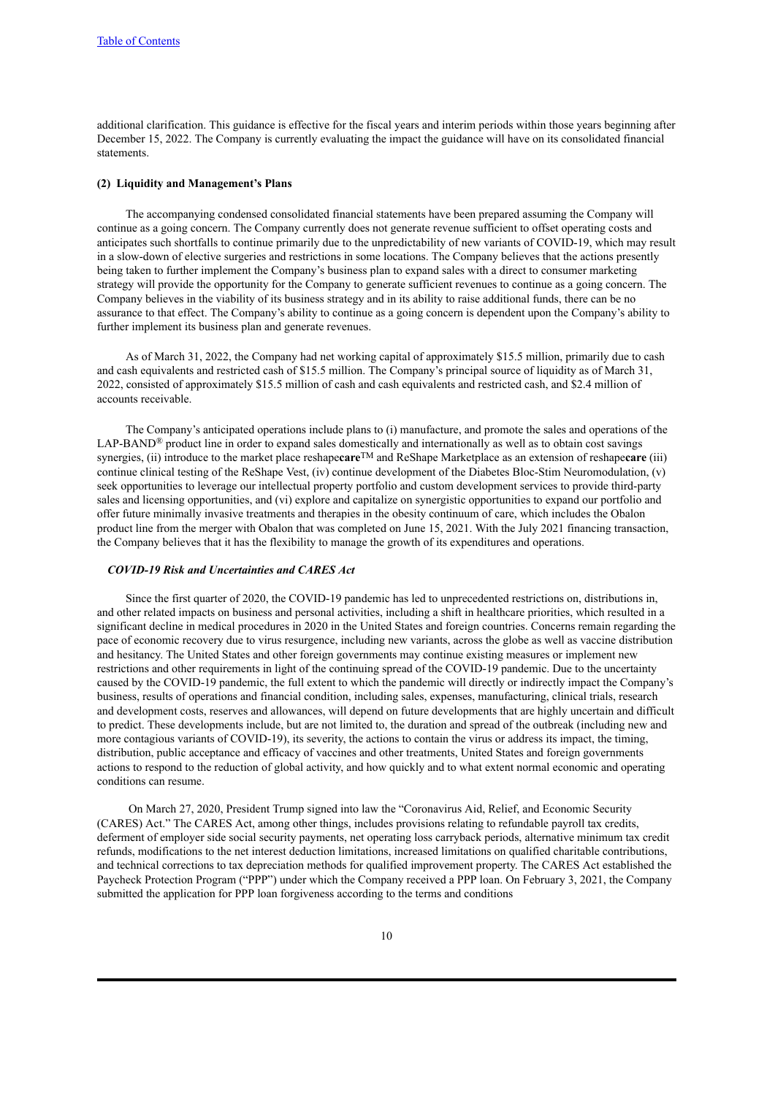additional clarification. This guidance is effective for the fiscal years and interim periods within those years beginning after December 15, 2022. The Company is currently evaluating the impact the guidance will have on its consolidated financial statements.

### **(2) Liquidity and Management's Plans**

The accompanying condensed consolidated financial statements have been prepared assuming the Company will continue as a going concern. The Company currently does not generate revenue sufficient to offset operating costs and anticipates such shortfalls to continue primarily due to the unpredictability of new variants of COVID-19, which may result in a slow-down of elective surgeries and restrictions in some locations. The Company believes that the actions presently being taken to further implement the Company's business plan to expand sales with a direct to consumer marketing strategy will provide the opportunity for the Company to generate sufficient revenues to continue as a going concern. The Company believes in the viability of its business strategy and in its ability to raise additional funds, there can be no assurance to that effect. The Company's ability to continue as a going concern is dependent upon the Company's ability to further implement its business plan and generate revenues.

As of March 31, 2022, the Company had net working capital of approximately \$15.5 million, primarily due to cash and cash equivalents and restricted cash of \$15.5 million. The Company's principal source of liquidity as of March 31, 2022, consisted of approximately \$15.5 million of cash and cash equivalents and restricted cash, and \$2.4 million of accounts receivable.

The Company's anticipated operations include plans to (i) manufacture, and promote the sales and operations of the LAP-BAND® product line in order to expand sales domestically and internationally as well as to obtain cost savings synergies, (ii) introduce to the market place reshape**care**TM and ReShape Marketplace as an extension of reshape**care** (iii) continue clinical testing of the ReShape Vest, (iv) continue development of the Diabetes Bloc-Stim Neuromodulation, (v) seek opportunities to leverage our intellectual property portfolio and custom development services to provide third-party sales and licensing opportunities, and (vi) explore and capitalize on synergistic opportunities to expand our portfolio and offer future minimally invasive treatments and therapies in the obesity continuum of care, which includes the Obalon product line from the merger with Obalon that was completed on June 15, 2021. With the July 2021 financing transaction, the Company believes that it has the flexibility to manage the growth of its expenditures and operations.

#### *COVID-19 Risk and Uncertainties and CARES Act*

Since the first quarter of 2020, the COVID-19 pandemic has led to unprecedented restrictions on, distributions in, and other related impacts on business and personal activities, including a shift in healthcare priorities, which resulted in a significant decline in medical procedures in 2020 in the United States and foreign countries. Concerns remain regarding the pace of economic recovery due to virus resurgence, including new variants, across the globe as well as vaccine distribution and hesitancy. The United States and other foreign governments may continue existing measures or implement new restrictions and other requirements in light of the continuing spread of the COVID-19 pandemic. Due to the uncertainty caused by the COVID-19 pandemic, the full extent to which the pandemic will directly or indirectly impact the Company's business, results of operations and financial condition, including sales, expenses, manufacturing, clinical trials, research and development costs, reserves and allowances, will depend on future developments that are highly uncertain and difficult to predict. These developments include, but are not limited to, the duration and spread of the outbreak (including new and more contagious variants of COVID-19), its severity, the actions to contain the virus or address its impact, the timing, distribution, public acceptance and efficacy of vaccines and other treatments, United States and foreign governments actions to respond to the reduction of global activity, and how quickly and to what extent normal economic and operating conditions can resume.

On March 27, 2020, President Trump signed into law the "Coronavirus Aid, Relief, and Economic Security (CARES) Act." The CARES Act, among other things, includes provisions relating to refundable payroll tax credits, deferment of employer side social security payments, net operating loss carryback periods, alternative minimum tax credit refunds, modifications to the net interest deduction limitations, increased limitations on qualified charitable contributions, and technical corrections to tax depreciation methods for qualified improvement property. The CARES Act established the Paycheck Protection Program ("PPP") under which the Company received a PPP loan. On February 3, 2021, the Company submitted the application for PPP loan forgiveness according to the terms and conditions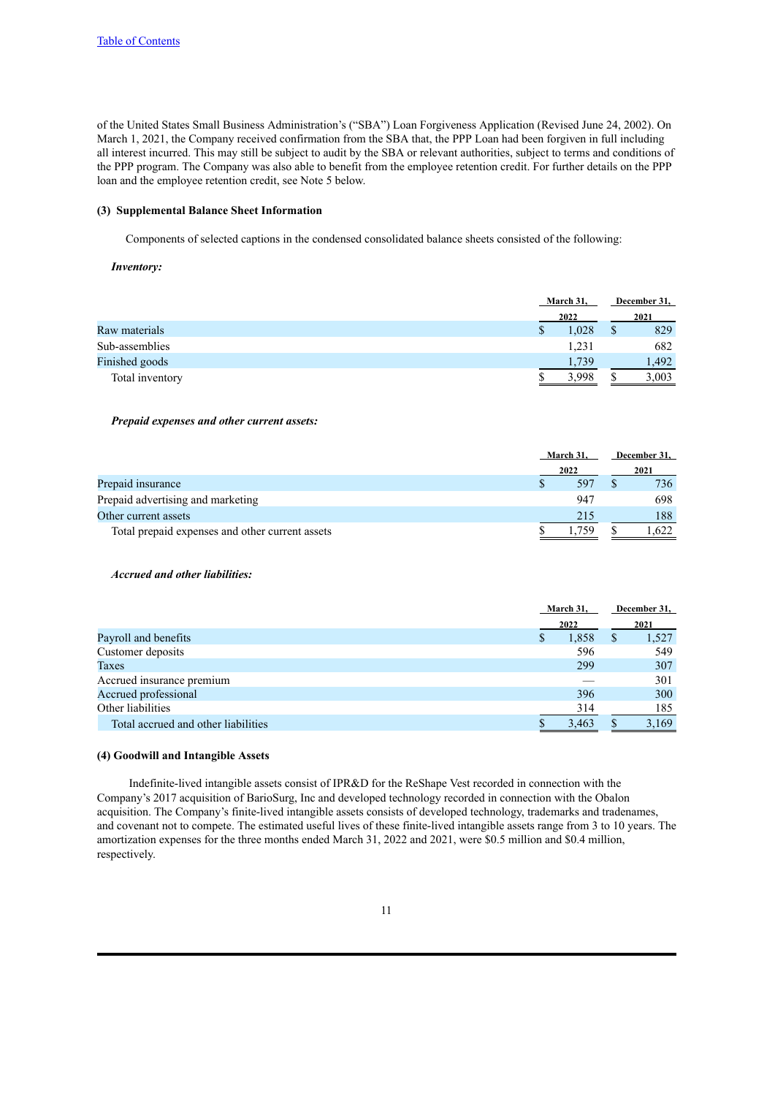of the United States Small Business Administration's ("SBA") Loan Forgiveness Application (Revised June 24, 2002). On March 1, 2021, the Company received confirmation from the SBA that, the PPP Loan had been forgiven in full including all interest incurred. This may still be subject to audit by the SBA or relevant authorities, subject to terms and conditions of the PPP program. The Company was also able to benefit from the employee retention credit. For further details on the PPP loan and the employee retention credit, see Note 5 below.

#### **(3) Supplemental Balance Sheet Information**

Components of selected captions in the condensed consolidated balance sheets consisted of the following:

#### *Inventory:*

|                 | March 31, | December 31, |
|-----------------|-----------|--------------|
|                 | 2022      | 2021         |
| Raw materials   | 1,028     | 829          |
| Sub-assemblies  | 1.231     | 682          |
| Finished goods  | 1.739     | 1.492        |
| Total inventory | 3.998     | 3,003        |

#### *Prepaid expenses and other current assets:*

|                                                 |  | March 31,<br>2022 |  | December 31, |
|-------------------------------------------------|--|-------------------|--|--------------|
|                                                 |  |                   |  | 2021         |
| Prepaid insurance                               |  | 597               |  | 736          |
| Prepaid advertising and marketing               |  | 947               |  | 698          |
| Other current assets                            |  | 215               |  | 188          |
| Total prepaid expenses and other current assets |  | -759              |  | 1.622        |

#### *Accrued and other liabilities:*

|                                     | March 31, | December 31, |
|-------------------------------------|-----------|--------------|
|                                     | 2022      | 2021         |
| Payroll and benefits                | 1,858     | 1,527        |
| Customer deposits                   | 596       | 549          |
| Taxes                               | 299       | 307          |
| Accrued insurance premium           |           | 301          |
| Accrued professional                | 396       | 300          |
| Other liabilities                   | 314       | 185          |
| Total accrued and other liabilities | 3.463     | 3,169        |
|                                     |           |              |

#### **(4) Goodwill and Intangible Assets**

Indefinite-lived intangible assets consist of IPR&D for the ReShape Vest recorded in connection with the Company's 2017 acquisition of BarioSurg, Inc and developed technology recorded in connection with the Obalon acquisition. The Company's finite-lived intangible assets consists of developed technology, trademarks and tradenames, and covenant not to compete. The estimated useful lives of these finite-lived intangible assets range from 3 to 10 years. The amortization expenses for the three months ended March 31, 2022 and 2021, were \$0.5 million and \$0.4 million, respectively.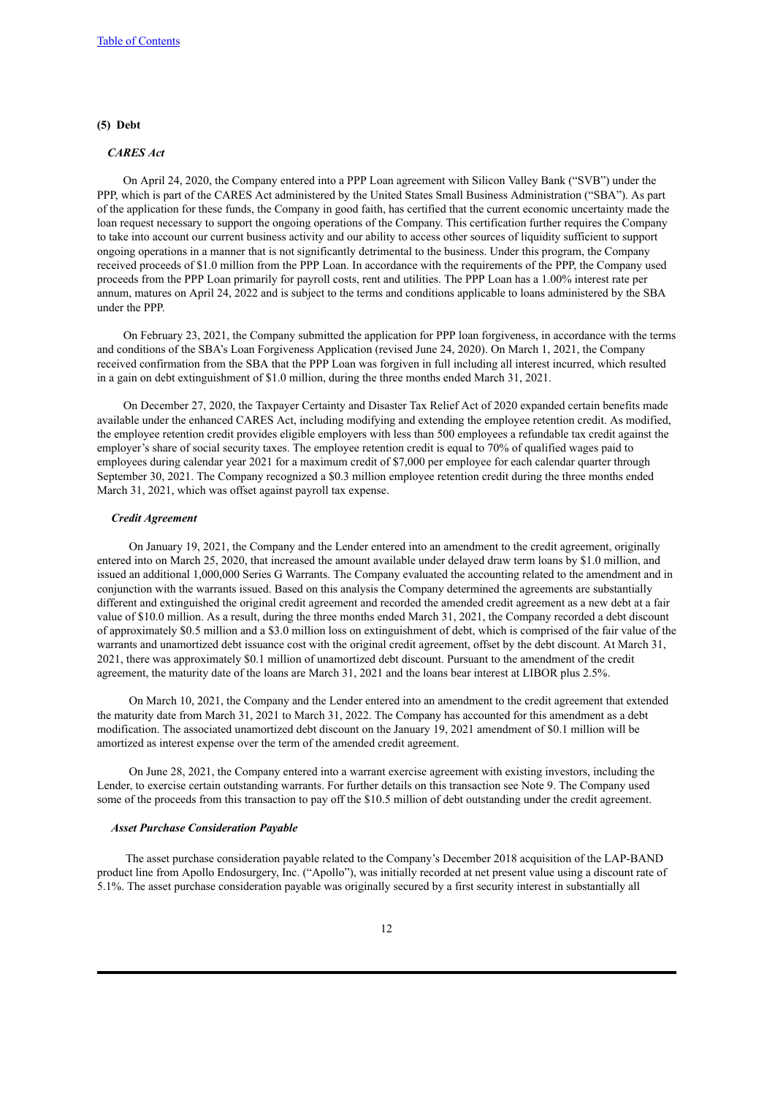### **(5) Debt**

## *CARES Act*

On April 24, 2020, the Company entered into a PPP Loan agreement with Silicon Valley Bank ("SVB") under the PPP, which is part of the CARES Act administered by the United States Small Business Administration ("SBA"). As part of the application for these funds, the Company in good faith, has certified that the current economic uncertainty made the loan request necessary to support the ongoing operations of the Company. This certification further requires the Company to take into account our current business activity and our ability to access other sources of liquidity sufficient to support ongoing operations in a manner that is not significantly detrimental to the business. Under this program, the Company received proceeds of \$1.0 million from the PPP Loan. In accordance with the requirements of the PPP, the Company used proceeds from the PPP Loan primarily for payroll costs, rent and utilities. The PPP Loan has a 1.00% interest rate per annum, matures on April 24, 2022 and is subject to the terms and conditions applicable to loans administered by the SBA under the PPP.

On February 23, 2021, the Company submitted the application for PPP loan forgiveness, in accordance with the terms and conditions of the SBA's Loan Forgiveness Application (revised June 24, 2020). On March 1, 2021, the Company received confirmation from the SBA that the PPP Loan was forgiven in full including all interest incurred, which resulted in a gain on debt extinguishment of \$1.0 million, during the three months ended March 31, 2021.

On December 27, 2020, the Taxpayer Certainty and Disaster Tax Relief Act of 2020 expanded certain benefits made available under the enhanced CARES Act, including modifying and extending the employee retention credit. As modified, the employee retention credit provides eligible employers with less than 500 employees a refundable tax credit against the employer's share of social security taxes. The employee retention credit is equal to 70% of qualified wages paid to employees during calendar year 2021 for a maximum credit of \$7,000 per employee for each calendar quarter through September 30, 2021. The Company recognized a \$0.3 million employee retention credit during the three months ended March 31, 2021, which was offset against payroll tax expense.

### *Credit Agreement*

On January 19, 2021, the Company and the Lender entered into an amendment to the credit agreement, originally entered into on March 25, 2020, that increased the amount available under delayed draw term loans by \$1.0 million, and issued an additional 1,000,000 Series G Warrants. The Company evaluated the accounting related to the amendment and in conjunction with the warrants issued. Based on this analysis the Company determined the agreements are substantially different and extinguished the original credit agreement and recorded the amended credit agreement as a new debt at a fair value of \$10.0 million. As a result, during the three months ended March 31, 2021, the Company recorded a debt discount of approximately \$0.5 million and a \$3.0 million loss on extinguishment of debt, which is comprised of the fair value of the warrants and unamortized debt issuance cost with the original credit agreement, offset by the debt discount. At March 31, 2021, there was approximately \$0.1 million of unamortized debt discount. Pursuant to the amendment of the credit agreement, the maturity date of the loans are March 31, 2021 and the loans bear interest at LIBOR plus 2.5%.

On March 10, 2021, the Company and the Lender entered into an amendment to the credit agreement that extended the maturity date from March 31, 2021 to March 31, 2022. The Company has accounted for this amendment as a debt modification. The associated unamortized debt discount on the January 19, 2021 amendment of \$0.1 million will be amortized as interest expense over the term of the amended credit agreement.

On June 28, 2021, the Company entered into a warrant exercise agreement with existing investors, including the Lender, to exercise certain outstanding warrants. For further details on this transaction see Note 9. The Company used some of the proceeds from this transaction to pay off the \$10.5 million of debt outstanding under the credit agreement.

#### *Asset Purchase Consideration Payable*

The asset purchase consideration payable related to the Company's December 2018 acquisition of the LAP-BAND product line from Apollo Endosurgery, Inc. ("Apollo"), was initially recorded at net present value using a discount rate of 5.1%. The asset purchase consideration payable was originally secured by a first security interest in substantially all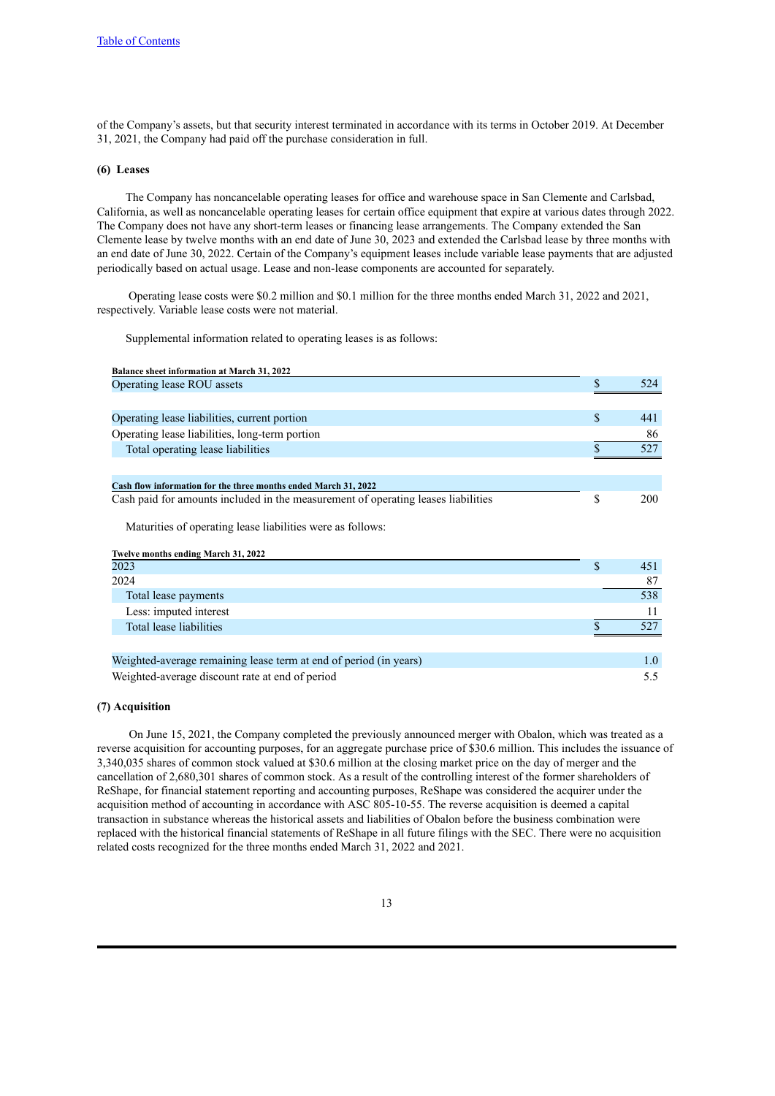of the Company's assets, but that security interest terminated in accordance with its terms in October 2019. At December 31, 2021, the Company had paid off the purchase consideration in full.

#### **(6) Leases**

The Company has noncancelable operating leases for office and warehouse space in San Clemente and Carlsbad, California, as well as noncancelable operating leases for certain office equipment that expire at various dates through 2022. The Company does not have any short-term leases or financing lease arrangements. The Company extended the San Clemente lease by twelve months with an end date of June 30, 2023 and extended the Carlsbad lease by three months with an end date of June 30, 2022. Certain of the Company's equipment leases include variable lease payments that are adjusted periodically based on actual usage. Lease and non-lease components are accounted for separately.

Operating lease costs were \$0.2 million and \$0.1 million for the three months ended March 31, 2022 and 2021, respectively. Variable lease costs were not material.

Supplemental information related to operating leases is as follows:

| <b>Balance sheet information at March 31, 2022</b>                                |              |            |
|-----------------------------------------------------------------------------------|--------------|------------|
| Operating lease ROU assets                                                        | \$           | 524        |
|                                                                                   |              |            |
| Operating lease liabilities, current portion                                      | $\mathbf{s}$ | 441        |
| Operating lease liabilities, long-term portion                                    |              | 86         |
| Total operating lease liabilities                                                 |              | 527        |
|                                                                                   |              |            |
| Cash flow information for the three months ended March 31, 2022                   |              |            |
| Cash paid for amounts included in the measurement of operating leases liabilities | \$           | <b>200</b> |
|                                                                                   |              |            |
| Maturities of operating lease liabilities were as follows:                        |              |            |
| Twelve months ending March 31, 2022                                               |              |            |
| 2023                                                                              | \$           | 451        |
| 2024                                                                              |              | 87         |
| Total lease payments                                                              |              | 538        |
| Less: imputed interest                                                            |              | 11         |
| Total lease liabilities                                                           |              | 527        |
|                                                                                   |              |            |
| Weighted-average remaining lease term at end of period (in years)                 |              | 1.0        |
| Weighted-average discount rate at end of period                                   |              | 5.5        |

# **(7) Acquisition**

On June 15, 2021, the Company completed the previously announced merger with Obalon, which was treated as a reverse acquisition for accounting purposes, for an aggregate purchase price of \$30.6 million. This includes the issuance of 3,340,035 shares of common stock valued at \$30.6 million at the closing market price on the day of merger and the cancellation of 2,680,301 shares of common stock. As a result of the controlling interest of the former shareholders of ReShape, for financial statement reporting and accounting purposes, ReShape was considered the acquirer under the acquisition method of accounting in accordance with ASC 805-10-55. The reverse acquisition is deemed a capital transaction in substance whereas the historical assets and liabilities of Obalon before the business combination were replaced with the historical financial statements of ReShape in all future filings with the SEC. There were no acquisition related costs recognized for the three months ended March 31, 2022 and 2021.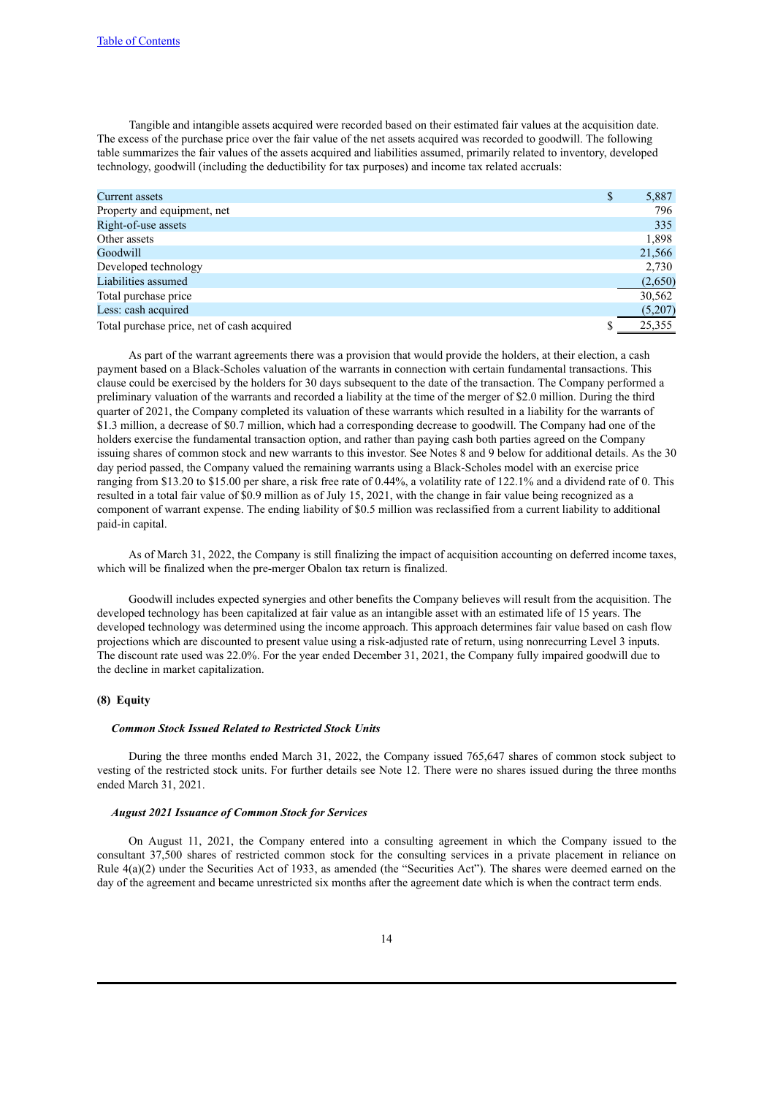Tangible and intangible assets acquired were recorded based on their estimated fair values at the acquisition date. The excess of the purchase price over the fair value of the net assets acquired was recorded to goodwill. The following table summarizes the fair values of the assets acquired and liabilities assumed, primarily related to inventory, developed technology, goodwill (including the deductibility for tax purposes) and income tax related accruals:

| Current assets                             | S | 5,887   |
|--------------------------------------------|---|---------|
| Property and equipment, net                |   | 796     |
| Right-of-use assets                        |   | 335     |
| Other assets                               |   | 1,898   |
| Goodwill                                   |   | 21,566  |
| Developed technology                       |   | 2,730   |
| Liabilities assumed                        |   | (2,650) |
| Total purchase price                       |   | 30,562  |
| Less: cash acquired                        |   | (5,207) |
| Total purchase price, net of cash acquired |   | 25,355  |

As part of the warrant agreements there was a provision that would provide the holders, at their election, a cash payment based on a Black-Scholes valuation of the warrants in connection with certain fundamental transactions. This clause could be exercised by the holders for 30 days subsequent to the date of the transaction. The Company performed a preliminary valuation of the warrants and recorded a liability at the time of the merger of \$2.0 million. During the third quarter of 2021, the Company completed its valuation of these warrants which resulted in a liability for the warrants of \$1.3 million, a decrease of \$0.7 million, which had a corresponding decrease to goodwill. The Company had one of the holders exercise the fundamental transaction option, and rather than paying cash both parties agreed on the Company issuing shares of common stock and new warrants to this investor. See Notes 8 and 9 below for additional details. As the 30 day period passed, the Company valued the remaining warrants using a Black-Scholes model with an exercise price ranging from \$13.20 to \$15.00 per share, a risk free rate of 0.44%, a volatility rate of 122.1% and a dividend rate of 0. This resulted in a total fair value of \$0.9 million as of July 15, 2021, with the change in fair value being recognized as a component of warrant expense. The ending liability of \$0.5 million was reclassified from a current liability to additional paid-in capital.

As of March 31, 2022, the Company is still finalizing the impact of acquisition accounting on deferred income taxes, which will be finalized when the pre-merger Obalon tax return is finalized.

Goodwill includes expected synergies and other benefits the Company believes will result from the acquisition. The developed technology has been capitalized at fair value as an intangible asset with an estimated life of 15 years. The developed technology was determined using the income approach. This approach determines fair value based on cash flow projections which are discounted to present value using a risk-adjusted rate of return, using nonrecurring Level 3 inputs. The discount rate used was 22.0%. For the year ended December 31, 2021, the Company fully impaired goodwill due to the decline in market capitalization.

#### **(8) Equity**

#### *Common Stock Issued Related to Restricted Stock Units*

During the three months ended March 31, 2022, the Company issued 765,647 shares of common stock subject to vesting of the restricted stock units. For further details see Note 12. There were no shares issued during the three months ended March 31, 2021.

#### *August 2021 Issuance of Common Stock for Services*

On August 11, 2021, the Company entered into a consulting agreement in which the Company issued to the consultant 37,500 shares of restricted common stock for the consulting services in a private placement in reliance on Rule 4(a)(2) under the Securities Act of 1933, as amended (the "Securities Act"). The shares were deemed earned on the day of the agreement and became unrestricted six months after the agreement date which is when the contract term ends.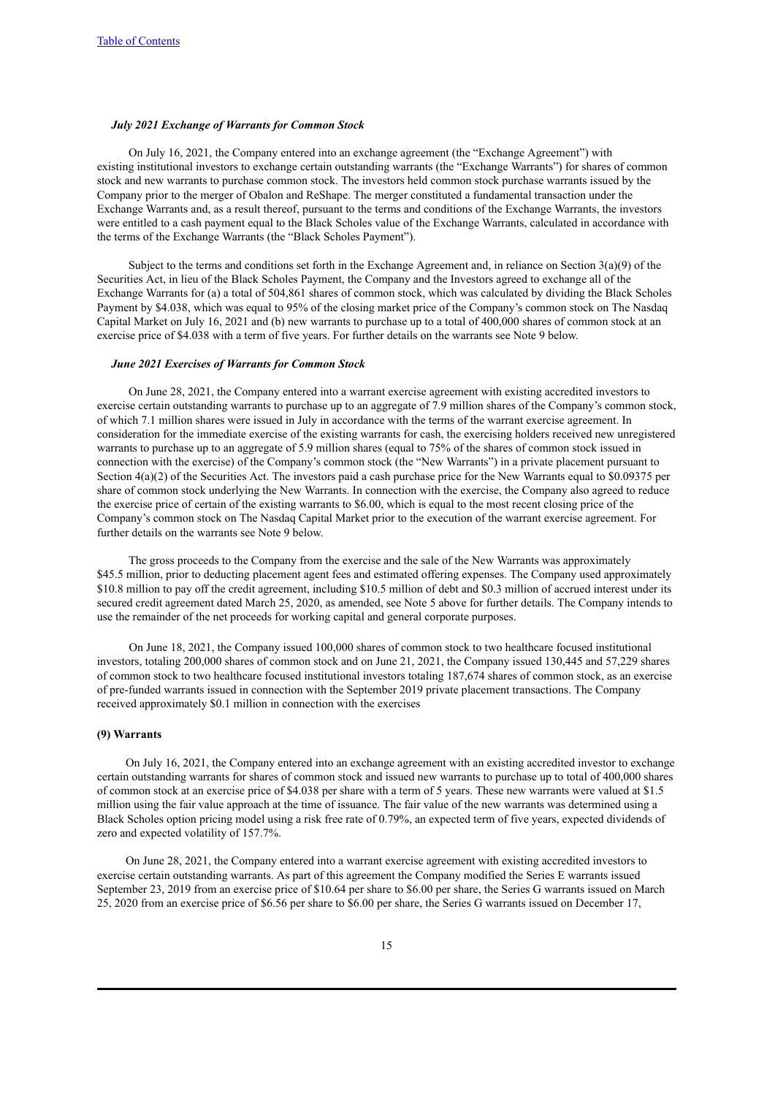### *July 2021 Exchange of Warrants for Common Stock*

On July 16, 2021, the Company entered into an exchange agreement (the "Exchange Agreement") with existing institutional investors to exchange certain outstanding warrants (the "Exchange Warrants") for shares of common stock and new warrants to purchase common stock. The investors held common stock purchase warrants issued by the Company prior to the merger of Obalon and ReShape. The merger constituted a fundamental transaction under the Exchange Warrants and, as a result thereof, pursuant to the terms and conditions of the Exchange Warrants, the investors were entitled to a cash payment equal to the Black Scholes value of the Exchange Warrants, calculated in accordance with the terms of the Exchange Warrants (the "Black Scholes Payment").

Subject to the terms and conditions set forth in the Exchange Agreement and, in reliance on Section 3(a)(9) of the Securities Act, in lieu of the Black Scholes Payment, the Company and the Investors agreed to exchange all of the Exchange Warrants for (a) a total of 504,861 shares of common stock, which was calculated by dividing the Black Scholes Payment by \$4.038, which was equal to 95% of the closing market price of the Company's common stock on The Nasdaq Capital Market on July 16, 2021 and (b) new warrants to purchase up to a total of 400,000 shares of common stock at an exercise price of \$4.038 with a term of five years. For further details on the warrants see Note 9 below.

#### *June 2021 Exercises of Warrants for Common Stock*

On June 28, 2021, the Company entered into a warrant exercise agreement with existing accredited investors to exercise certain outstanding warrants to purchase up to an aggregate of 7.9 million shares of the Company's common stock, of which 7.1 million shares were issued in July in accordance with the terms of the warrant exercise agreement. In consideration for the immediate exercise of the existing warrants for cash, the exercising holders received new unregistered warrants to purchase up to an aggregate of 5.9 million shares (equal to 75% of the shares of common stock issued in connection with the exercise) of the Company's common stock (the "New Warrants") in a private placement pursuant to Section 4(a)(2) of the Securities Act. The investors paid a cash purchase price for the New Warrants equal to \$0.09375 per share of common stock underlying the New Warrants. In connection with the exercise, the Company also agreed to reduce the exercise price of certain of the existing warrants to \$6.00, which is equal to the most recent closing price of the Company's common stock on The Nasdaq Capital Market prior to the execution of the warrant exercise agreement. For further details on the warrants see Note 9 below.

The gross proceeds to the Company from the exercise and the sale of the New Warrants was approximately \$45.5 million, prior to deducting placement agent fees and estimated offering expenses. The Company used approximately \$10.8 million to pay off the credit agreement, including \$10.5 million of debt and \$0.3 million of accrued interest under its secured credit agreement dated March 25, 2020, as amended, see Note 5 above for further details. The Company intends to use the remainder of the net proceeds for working capital and general corporate purposes.

On June 18, 2021, the Company issued 100,000 shares of common stock to two healthcare focused institutional investors, totaling 200,000 shares of common stock and on June 21, 2021, the Company issued 130,445 and 57,229 shares of common stock to two healthcare focused institutional investors totaling 187,674 shares of common stock, as an exercise of pre-funded warrants issued in connection with the September 2019 private placement transactions. The Company received approximately \$0.1 million in connection with the exercises

### **(9) Warrants**

On July 16, 2021, the Company entered into an exchange agreement with an existing accredited investor to exchange certain outstanding warrants for shares of common stock and issued new warrants to purchase up to total of 400,000 shares of common stock at an exercise price of \$4.038 per share with a term of 5 years. These new warrants were valued at \$1.5 million using the fair value approach at the time of issuance. The fair value of the new warrants was determined using a Black Scholes option pricing model using a risk free rate of 0.79%, an expected term of five years, expected dividends of zero and expected volatility of 157.7%.

On June 28, 2021, the Company entered into a warrant exercise agreement with existing accredited investors to exercise certain outstanding warrants. As part of this agreement the Company modified the Series E warrants issued September 23, 2019 from an exercise price of \$10.64 per share to \$6.00 per share, the Series G warrants issued on March 25, 2020 from an exercise price of \$6.56 per share to \$6.00 per share, the Series G warrants issued on December 17,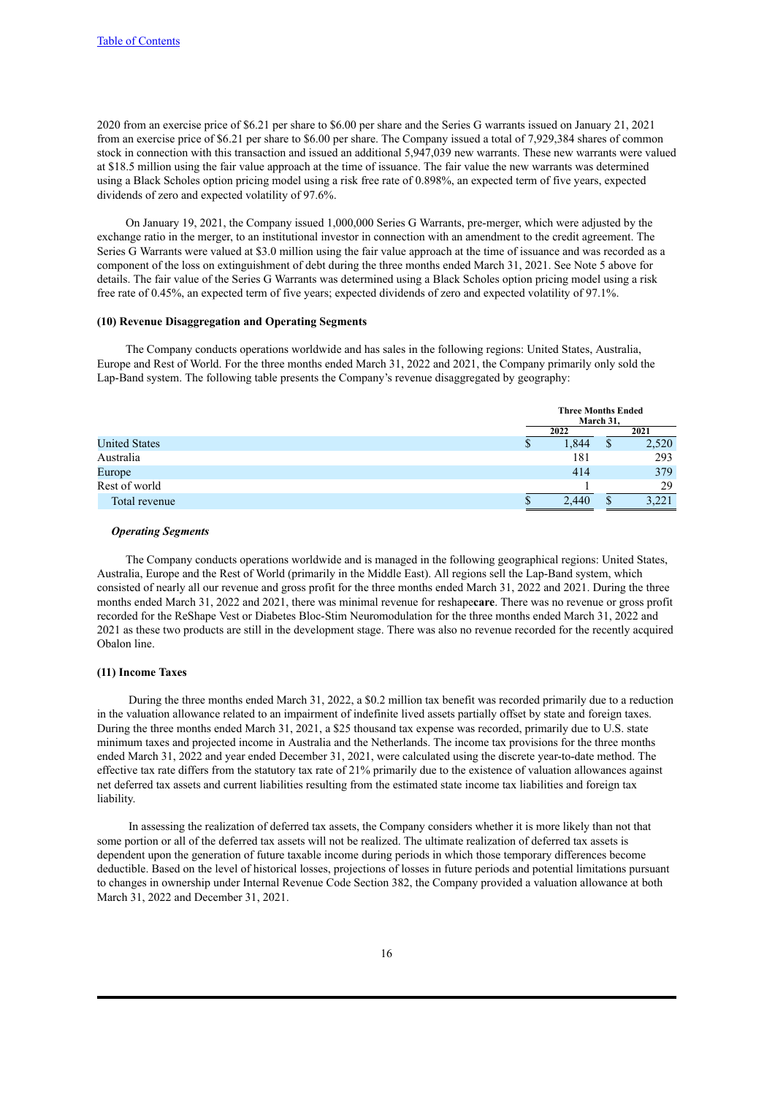2020 from an exercise price of \$6.21 per share to \$6.00 per share and the Series G warrants issued on January 21, 2021 from an exercise price of \$6.21 per share to \$6.00 per share. The Company issued a total of 7,929,384 shares of common stock in connection with this transaction and issued an additional 5,947,039 new warrants. These new warrants were valued at \$18.5 million using the fair value approach at the time of issuance. The fair value the new warrants was determined using a Black Scholes option pricing model using a risk free rate of 0.898%, an expected term of five years, expected dividends of zero and expected volatility of 97.6%.

On January 19, 2021, the Company issued 1,000,000 Series G Warrants, pre-merger, which were adjusted by the exchange ratio in the merger, to an institutional investor in connection with an amendment to the credit agreement. The Series G Warrants were valued at \$3.0 million using the fair value approach at the time of issuance and was recorded as a component of the loss on extinguishment of debt during the three months ended March 31, 2021. See Note 5 above for details. The fair value of the Series G Warrants was determined using a Black Scholes option pricing model using a risk free rate of 0.45%, an expected term of five years; expected dividends of zero and expected volatility of 97.1%.

#### **(10) Revenue Disaggregation and Operating Segments**

The Company conducts operations worldwide and has sales in the following regions: United States, Australia, Europe and Rest of World. For the three months ended March 31, 2022 and 2021, the Company primarily only sold the Lap-Band system. The following table presents the Company's revenue disaggregated by geography:

|                      |   | <b>Three Months Ended</b><br>March 31, |   |       |
|----------------------|---|----------------------------------------|---|-------|
|                      |   | 2022                                   |   | 2021  |
| <b>United States</b> | Φ | 1,844                                  | D | 2,520 |
| Australia            |   | 181                                    |   | 293   |
| Europe               |   | 414                                    |   | 379   |
| Rest of world        |   |                                        |   | 29    |
| Total revenue        |   | 2.440                                  |   | 3,221 |

#### *Operating Segments*

The Company conducts operations worldwide and is managed in the following geographical regions: United States, Australia, Europe and the Rest of World (primarily in the Middle East). All regions sell the Lap-Band system, which consisted of nearly all our revenue and gross profit for the three months ended March 31, 2022 and 2021. During the three months ended March 31, 2022 and 2021, there was minimal revenue for reshape**care**. There was no revenue or gross profit recorded for the ReShape Vest or Diabetes Bloc-Stim Neuromodulation for the three months ended March 31, 2022 and 2021 as these two products are still in the development stage. There was also no revenue recorded for the recently acquired Obalon line.

#### **(11) Income Taxes**

During the three months ended March 31, 2022, a \$0.2 million tax benefit was recorded primarily due to a reduction in the valuation allowance related to an impairment of indefinite lived assets partially offset by state and foreign taxes. During the three months ended March 31, 2021, a \$25 thousand tax expense was recorded, primarily due to U.S. state minimum taxes and projected income in Australia and the Netherlands. The income tax provisions for the three months ended March 31, 2022 and year ended December 31, 2021, were calculated using the discrete year-to-date method. The effective tax rate differs from the statutory tax rate of 21% primarily due to the existence of valuation allowances against net deferred tax assets and current liabilities resulting from the estimated state income tax liabilities and foreign tax liability.

In assessing the realization of deferred tax assets, the Company considers whether it is more likely than not that some portion or all of the deferred tax assets will not be realized. The ultimate realization of deferred tax assets is dependent upon the generation of future taxable income during periods in which those temporary differences become deductible. Based on the level of historical losses, projections of losses in future periods and potential limitations pursuant to changes in ownership under Internal Revenue Code Section 382, the Company provided a valuation allowance at both March 31, 2022 and December 31, 2021.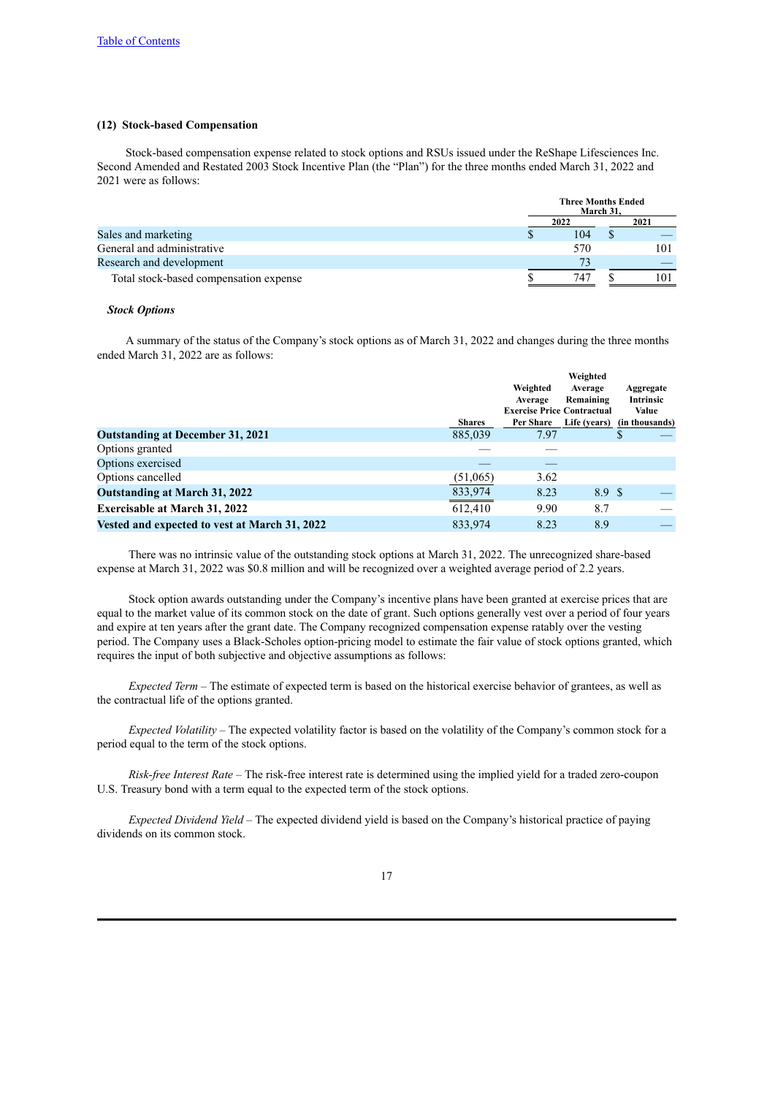### **(12) Stock-based Compensation**

Stock-based compensation expense related to stock options and RSUs issued under the ReShape Lifesciences Inc. Second Amended and Restated 2003 Stock Incentive Plan (the "Plan") for the three months ended March 31, 2022 and 2021 were as follows:

|                                        | <b>Three Months Ended</b><br>March 31. |      |   |      |
|----------------------------------------|----------------------------------------|------|---|------|
|                                        |                                        | 2022 |   | 2021 |
| Sales and marketing                    |                                        | 104  | S |      |
| General and administrative             |                                        | 570  |   | 101  |
| Research and development               |                                        |      |   |      |
| Total stock-based compensation expense |                                        | 747  |   | 101  |

### *Stock Options*

A summary of the status of the Company's stock options as of March 31, 2022 and changes during the three months ended March 31, 2022 are as follows:

|                                               |               |                                   | Weighted     |                  |
|-----------------------------------------------|---------------|-----------------------------------|--------------|------------------|
|                                               |               | Weighted                          | Average      | Aggregate        |
|                                               |               | Average                           | Remaining    | <b>Intrinsic</b> |
|                                               |               | <b>Exercise Price Contractual</b> |              | Value            |
|                                               | <b>Shares</b> | Per Share                         | Life (vears) | (in thousands)   |
| <b>Outstanding at December 31, 2021</b>       | 885,039       | 7.97                              |              | S                |
| Options granted                               |               |                                   |              |                  |
| Options exercised                             |               |                                   |              |                  |
| Options cancelled                             | (51,065)      | 3.62                              |              |                  |
| Outstanding at March 31, 2022                 | 833,974       | 8.23                              | 8.9 \$       |                  |
| <b>Exercisable at March 31, 2022</b>          | 612.410       | 9.90                              | 8.7          |                  |
| Vested and expected to vest at March 31, 2022 | 833,974       | 8.23                              | 8.9          |                  |

There was no intrinsic value of the outstanding stock options at March 31, 2022. The unrecognized share-based expense at March 31, 2022 was \$0.8 million and will be recognized over a weighted average period of 2.2 years.

Stock option awards outstanding under the Company's incentive plans have been granted at exercise prices that are equal to the market value of its common stock on the date of grant. Such options generally vest over a period of four years and expire at ten years after the grant date. The Company recognized compensation expense ratably over the vesting period. The Company uses a Black-Scholes option-pricing model to estimate the fair value of stock options granted, which requires the input of both subjective and objective assumptions as follows:

*Expected Term* – The estimate of expected term is based on the historical exercise behavior of grantees, as well as the contractual life of the options granted.

*Expected Volatility* – The expected volatility factor is based on the volatility of the Company's common stock for a period equal to the term of the stock options.

*Risk-free Interest Rate* – The risk-free interest rate is determined using the implied yield for a traded zero-coupon U.S. Treasury bond with a term equal to the expected term of the stock options.

*Expected Dividend Yield* – The expected dividend yield is based on the Company's historical practice of paying dividends on its common stock.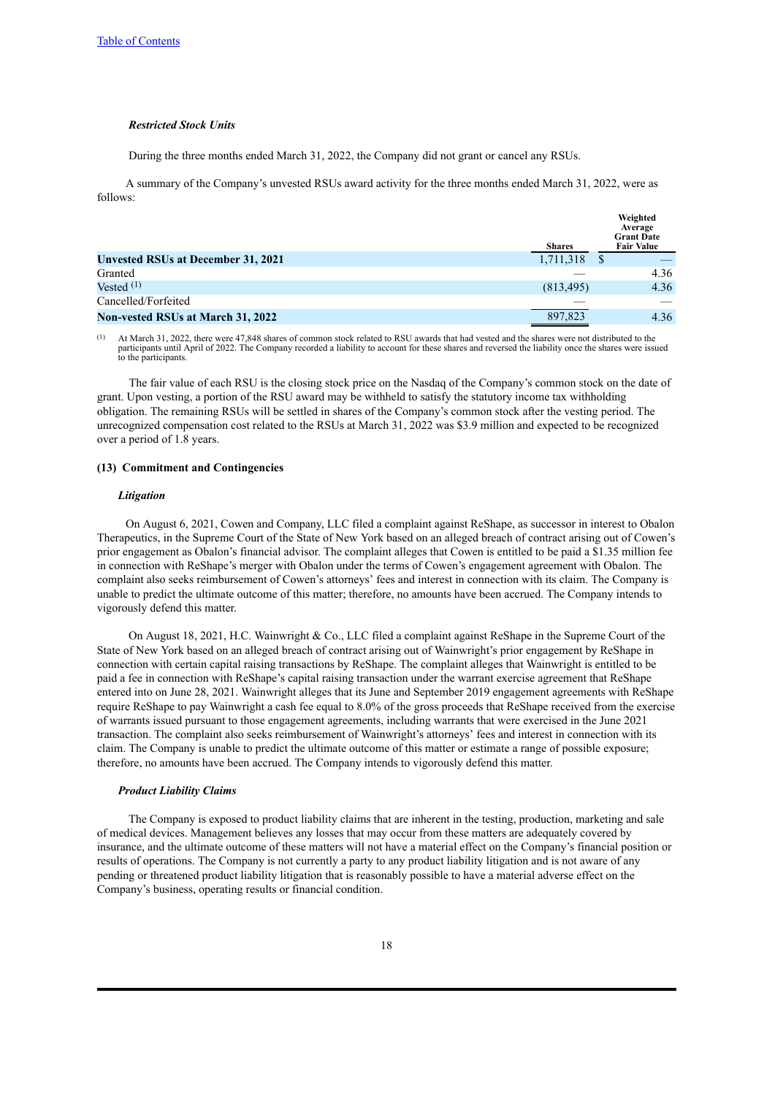#### *Restricted Stock Units*

During the three months ended March 31, 2022, the Company did not grant or cancel any RSUs.

A summary of the Company's unvested RSUs award activity for the three months ended March 31, 2022, were as follows:

|                                           | <b>Shares</b> | Weighted<br>Average<br><b>Grant Date</b><br><b>Fair Value</b> |
|-------------------------------------------|---------------|---------------------------------------------------------------|
| <b>Unvested RSUs at December 31, 2021</b> | 1,711,318     |                                                               |
| Granted                                   |               | 4.36                                                          |
| Vested $(1)$                              | (813, 495)    | 4.36                                                          |
| Cancelled/Forfeited                       |               |                                                               |
| <b>Non-vested RSUs at March 31, 2022</b>  | 897,823       | 4.36                                                          |

(1) At March 31, 2022, there were 47,848 shares of common stock related to RSU awards that had vested and the shares were not distributed to the participants until April of 2022. The Company recorded a liability to account for these shares and reversed the liability once the shares were issued to the participants.

The fair value of each RSU is the closing stock price on the Nasdaq of the Company's common stock on the date of grant. Upon vesting, a portion of the RSU award may be withheld to satisfy the statutory income tax withholding obligation. The remaining RSUs will be settled in shares of the Company's common stock after the vesting period. The unrecognized compensation cost related to the RSUs at March 31, 2022 was \$3.9 million and expected to be recognized over a period of 1.8 years.

#### **(13) Commitment and Contingencies**

#### *Litigation*

On August 6, 2021, Cowen and Company, LLC filed a complaint against ReShape, as successor in interest to Obalon Therapeutics, in the Supreme Court of the State of New York based on an alleged breach of contract arising out of Cowen's prior engagement as Obalon's financial advisor. The complaint alleges that Cowen is entitled to be paid a \$1.35 million fee in connection with ReShape's merger with Obalon under the terms of Cowen's engagement agreement with Obalon. The complaint also seeks reimbursement of Cowen's attorneys' fees and interest in connection with its claim. The Company is unable to predict the ultimate outcome of this matter; therefore, no amounts have been accrued. The Company intends to vigorously defend this matter.

On August 18, 2021, H.C. Wainwright & Co., LLC filed a complaint against ReShape in the Supreme Court of the State of New York based on an alleged breach of contract arising out of Wainwright's prior engagement by ReShape in connection with certain capital raising transactions by ReShape. The complaint alleges that Wainwright is entitled to be paid a fee in connection with ReShape's capital raising transaction under the warrant exercise agreement that ReShape entered into on June 28, 2021. Wainwright alleges that its June and September 2019 engagement agreements with ReShape require ReShape to pay Wainwright a cash fee equal to 8.0% of the gross proceeds that ReShape received from the exercise of warrants issued pursuant to those engagement agreements, including warrants that were exercised in the June 2021 transaction. The complaint also seeks reimbursement of Wainwright's attorneys' fees and interest in connection with its claim. The Company is unable to predict the ultimate outcome of this matter or estimate a range of possible exposure; therefore, no amounts have been accrued. The Company intends to vigorously defend this matter.

#### *Product Liability Claims*

The Company is exposed to product liability claims that are inherent in the testing, production, marketing and sale of medical devices. Management believes any losses that may occur from these matters are adequately covered by insurance, and the ultimate outcome of these matters will not have a material effect on the Company's financial position or results of operations. The Company is not currently a party to any product liability litigation and is not aware of any pending or threatened product liability litigation that is reasonably possible to have a material adverse effect on the Company's business, operating results or financial condition.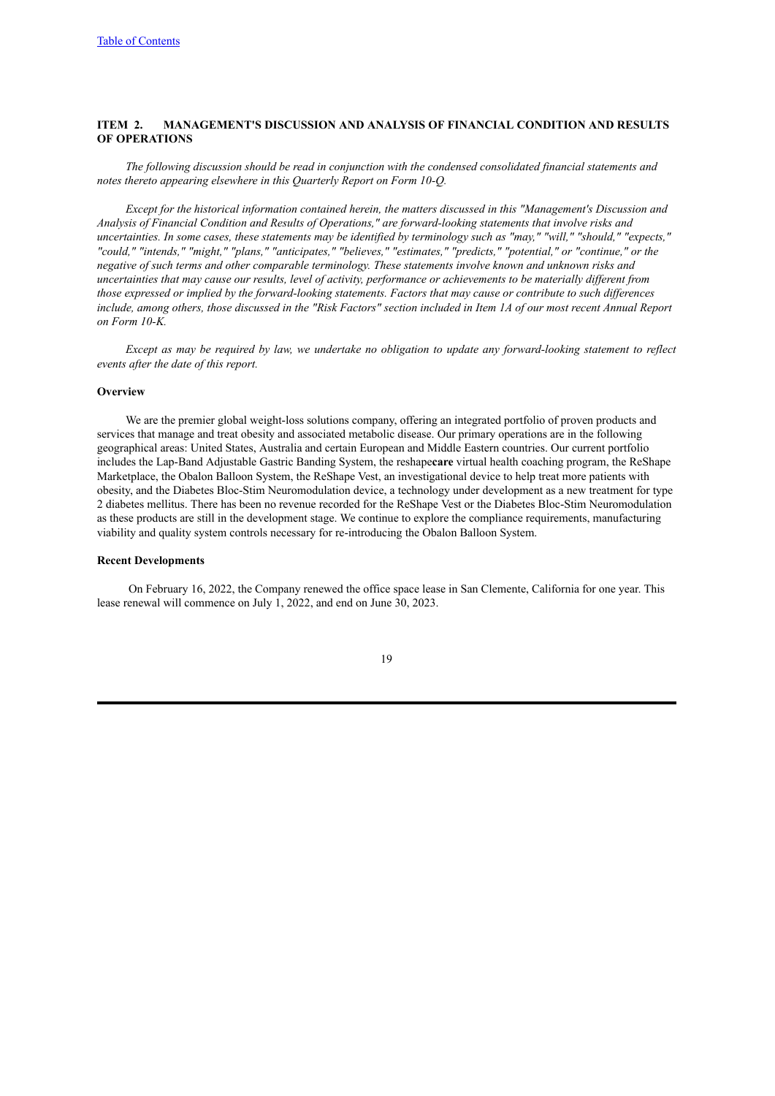### <span id="page-18-0"></span>**ITEM 2. MANAGEMENT'S DISCUSSION AND ANALYSIS OF FINANCIAL CONDITION AND RESULTS OF OPERATIONS**

*The following discussion should be read in conjunction with the condensed consolidated financial statements and notes thereto appearing elsewhere in this Quarterly Report on Form 10-Q.*

*Except for the historical information contained herein, the matters discussed in this "Management's Discussion and Analysis of Financial Condition and Results of Operations," are forward-looking statements that involve risks and* uncertainties. In some cases, these statements may be identified by terminology such as "may," "will," "should," "expects," *"could," "intends," "might," "plans," "anticipates," "believes," "estimates," "predicts," "potential," or "continue," or the negative of such terms and other comparable terminology. These statements involve known and unknown risks and* uncertainties that may cause our results, level of activity, performance or achievements to be materially different from those expressed or implied by the forward-looking statements. Factors that may cause or contribute to such differences include, among others, those discussed in the "Risk Factors" section included in Item 1A of our most recent Annual Report *on Form 10-K.*

Except as may be required by law, we undertake no obligation to update any forward-looking statement to reflect *events after the date of this report.*

### **Overview**

We are the premier global weight-loss solutions company, offering an integrated portfolio of proven products and services that manage and treat obesity and associated metabolic disease. Our primary operations are in the following geographical areas: United States, Australia and certain European and Middle Eastern countries. Our current portfolio includes the Lap-Band Adjustable Gastric Banding System, the reshape**care** virtual health coaching program, the ReShape Marketplace, the Obalon Balloon System, the ReShape Vest, an investigational device to help treat more patients with obesity, and the Diabetes Bloc-Stim Neuromodulation device, a technology under development as a new treatment for type 2 diabetes mellitus. There has been no revenue recorded for the ReShape Vest or the Diabetes Bloc-Stim Neuromodulation as these products are still in the development stage. We continue to explore the compliance requirements, manufacturing viability and quality system controls necessary for re-introducing the Obalon Balloon System.

#### **Recent Developments**

On February 16, 2022, the Company renewed the office space lease in San Clemente, California for one year. This lease renewal will commence on July 1, 2022, and end on June 30, 2023.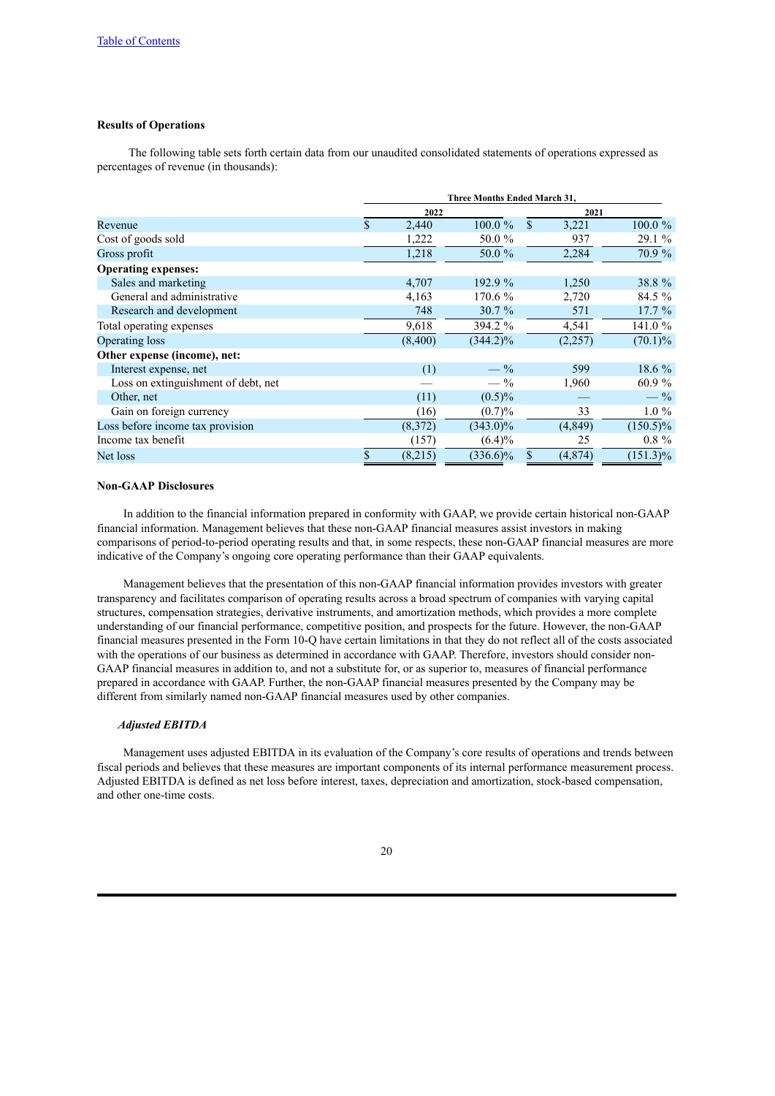### **Results of Operations**

The following table sets forth certain data from our unaudited consolidated statements of operations expressed as percentages of revenue (in thousands):

|                                     | Three Months Ended March 31, |             |              |          |                 |  |  |
|-------------------------------------|------------------------------|-------------|--------------|----------|-----------------|--|--|
|                                     | 2022                         |             |              | 2021     |                 |  |  |
| Revenue                             | \$<br>2,440                  | 100.0 %     | $\mathbb{S}$ | 3,221    | $100.0 \%$      |  |  |
| Cost of goods sold                  | 1,222                        | 50.0%       |              | 937      | 29.1 %          |  |  |
| Gross profit                        | 1,218                        | 50.0%       |              | 2,284    | 70.9%           |  |  |
| <b>Operating expenses:</b>          |                              |             |              |          |                 |  |  |
| Sales and marketing                 | 4,707                        | 192.9 %     |              | 1,250    | 38.8 %          |  |  |
| General and administrative          | 4,163                        | 170.6 %     |              | 2,720    | 84.5 %          |  |  |
| Research and development            | 748                          | $30.7\%$    |              | 571      | 17.7%           |  |  |
| Total operating expenses            | 9,618                        | 394.2 %     |              | 4,541    | 141.0 %         |  |  |
| Operating loss                      | (8,400)                      | $(344.2)\%$ |              | (2, 257) | $(70.1)\%$      |  |  |
| Other expense (income), net:        |                              |             |              |          |                 |  |  |
| Interest expense, net               | (1)                          | $-$ %       |              | 599      | $18.6\%$        |  |  |
| Loss on extinguishment of debt, net |                              | $-$ %       |              | 1,960    | 60.9%           |  |  |
| Other, net                          | (11)                         | $(0.5)\%$   |              |          | $- \frac{9}{6}$ |  |  |
| Gain on foreign currency            | (16)                         | (0.7)%      |              | 33       | $1.0\%$         |  |  |
| Loss before income tax provision    | (8,372)                      | $(343.0)\%$ |              | (4, 849) | $(150.5)\%$     |  |  |
| Income tax benefit                  | (157)                        | $(6.4)\%$   |              | 25       | $0.8 \%$        |  |  |
| Net loss                            | \$<br>(8,215)                | $(336.6)\%$ | \$           | (4, 874) | $(151.3)\%$     |  |  |

### **Non-GAAP Disclosures**

In addition to the financial information prepared in conformity with GAAP, we provide certain historical non-GAAP financial information. Management believes that these non-GAAP financial measures assist investors in making comparisons of period-to-period operating results and that, in some respects, these non-GAAP financial measures are more indicative of the Company's ongoing core operating performance than their GAAP equivalents.

Management believes that the presentation of this non-GAAP financial information provides investors with greater transparency and facilitates comparison of operating results across a broad spectrum of companies with varying capital structures, compensation strategies, derivative instruments, and amortization methods, which provides a more complete understanding of our financial performance, competitive position, and prospects for the future. However, the non-GAAP financial measures presented in the Form 10-Q have certain limitations in that they do not reflect all of the costs associated with the operations of our business as determined in accordance with GAAP. Therefore, investors should consider non-GAAP financial measures in addition to, and not a substitute for, or as superior to, measures of financial performance prepared in accordance with GAAP. Further, the non-GAAP financial measures presented by the Company may be different from similarly named non-GAAP financial measures used by other companies.

#### *Adjusted EBITDA*

Management uses adjusted EBITDA in its evaluation of the Company's core results of operations and trends between fiscal periods and believes that these measures are important components of its internal performance measurement process. Adjusted EBITDA is defined as net loss before interest, taxes, depreciation and amortization, stock-based compensation, and other one-time costs.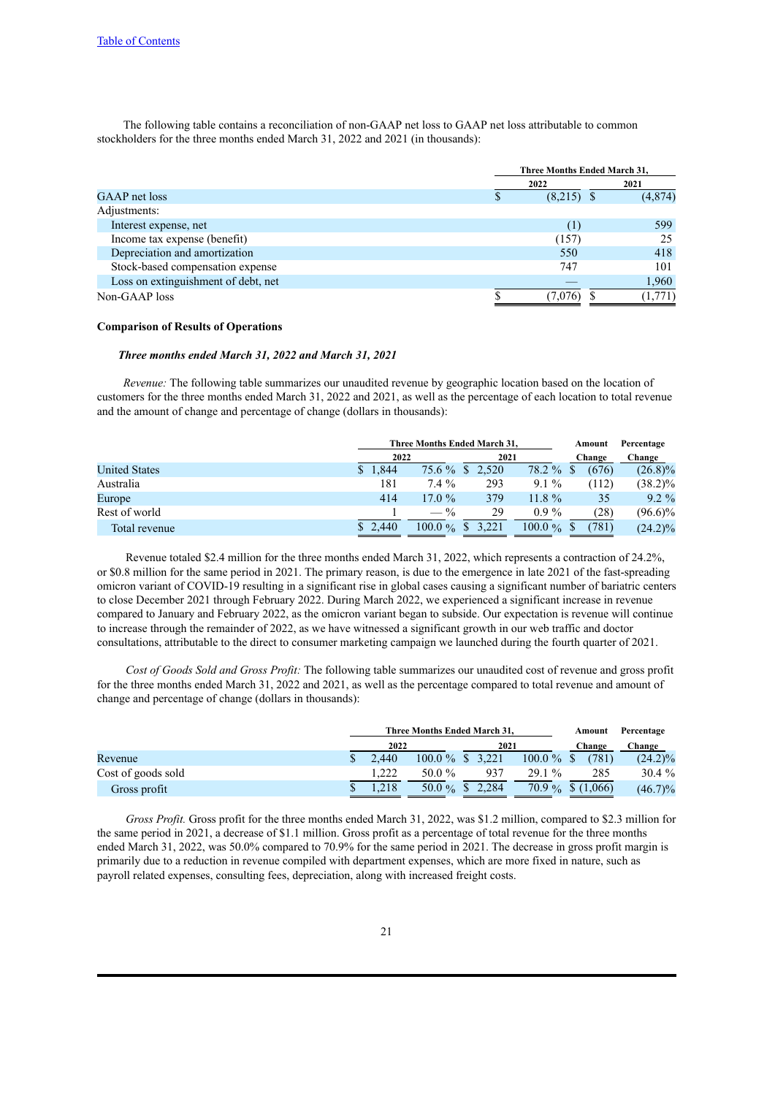The following table contains a reconciliation of non-GAAP net loss to GAAP net loss attributable to common stockholders for the three months ended March 31, 2022 and 2021 (in thousands):

|                                     | Three Months Ended March 31, |              |  |         |  |
|-------------------------------------|------------------------------|--------------|--|---------|--|
|                                     |                              | 2022         |  | 2021    |  |
| GAAP net loss                       | D                            | $(8,215)$ \$ |  | (4,874) |  |
| Adjustments:                        |                              |              |  |         |  |
| Interest expense, net               |                              |              |  | 599     |  |
| Income tax expense (benefit)        |                              | (157)        |  | 25      |  |
| Depreciation and amortization       |                              | 550          |  | 418     |  |
| Stock-based compensation expense    |                              | 747          |  | 101     |  |
| Loss on extinguishment of debt, net |                              |              |  | 1,960   |  |
| Non-GAAP loss                       |                              | (7.076)      |  | (1,771) |  |

#### **Comparison of Results of Operations**

#### *Three months ended March 31, 2022 and March 31, 2021*

*Revenue:* The following table summarizes our unaudited revenue by geographic location based on the location of customers for the three months ended March 31, 2022 and 2021, as well as the percentage of each location to total revenue and the amount of change and percentage of change (dollars in thousands):

|                      |         | Three Months Ended March 31. | Amount          | Percentage |            |            |
|----------------------|---------|------------------------------|-----------------|------------|------------|------------|
|                      | 2022    |                              | 2021            |            | Change     | Change     |
| <b>United States</b> | \$1.844 |                              | 75.6 % \$ 2,520 | 78.2 %     | (676)<br>S | $(26.8)\%$ |
| Australia            | 181     | $7.4\%$                      | 293             | $9.1\%$    | (112)      | $(38.2)\%$ |
| Europe               | 414     | 17.0%                        | 379             | 11.8 $%$   | 35         | $9.2\%$    |
| Rest of world        |         | $-$ %                        | 29              | $0.9\%$    | (28)       | $(96.6)\%$ |
| Total revenue        | \$2,440 | $100.0\%$ \$                 | 3.221           | $100.0 \%$ | (781)      | $(24.2)\%$ |

Revenue totaled \$2.4 million for the three months ended March 31, 2022, which represents a contraction of 24.2%, or \$0.8 million for the same period in 2021. The primary reason, is due to the emergence in late 2021 of the fast-spreading omicron variant of COVID-19 resulting in a significant rise in global cases causing a significant number of bariatric centers to close December 2021 through February 2022. During March 2022, we experienced a significant increase in revenue compared to January and February 2022, as the omicron variant began to subside. Our expectation is revenue will continue to increase through the remainder of 2022, as we have witnessed a significant growth in our web traffic and doctor consultations, attributable to the direct to consumer marketing campaign we launched during the fourth quarter of 2021.

*Cost of Goods Sold and Gross Profit:* The following table summarizes our unaudited cost of revenue and gross profit for the three months ended March 31, 2022 and 2021, as well as the percentage compared to total revenue and amount of change and percentage of change (dollars in thousands):

|                    | Three Months Ended March 31. |       |                    |  |      |                       | Amount | Percentage |
|--------------------|------------------------------|-------|--------------------|--|------|-----------------------|--------|------------|
|                    |                              | 2022  |                    |  | 2021 |                       | Change | Change     |
| Revenue            |                              | 2.440 | $100.0\%$ \$ 3.221 |  |      | $100.0 \%$ \$         | (781)  | $(24.2)\%$ |
| Cost of goods sold |                              | .222  | 50.0 %             |  | 937  | $29.1\%$              | 285    | $30.4 \%$  |
| Gross profit       |                              | 1.218 | $50.0\%$ \$ 2,284  |  |      | $70.9\%$ \$ $(1,066)$ |        | $(46.7)\%$ |

*Gross Profit.* Gross profit for the three months ended March 31, 2022, was \$1.2 million, compared to \$2.3 million for the same period in 2021, a decrease of \$1.1 million. Gross profit as a percentage of total revenue for the three months ended March 31, 2022, was 50.0% compared to 70.9% for the same period in 2021. The decrease in gross profit margin is primarily due to a reduction in revenue compiled with department expenses, which are more fixed in nature, such as payroll related expenses, consulting fees, depreciation, along with increased freight costs.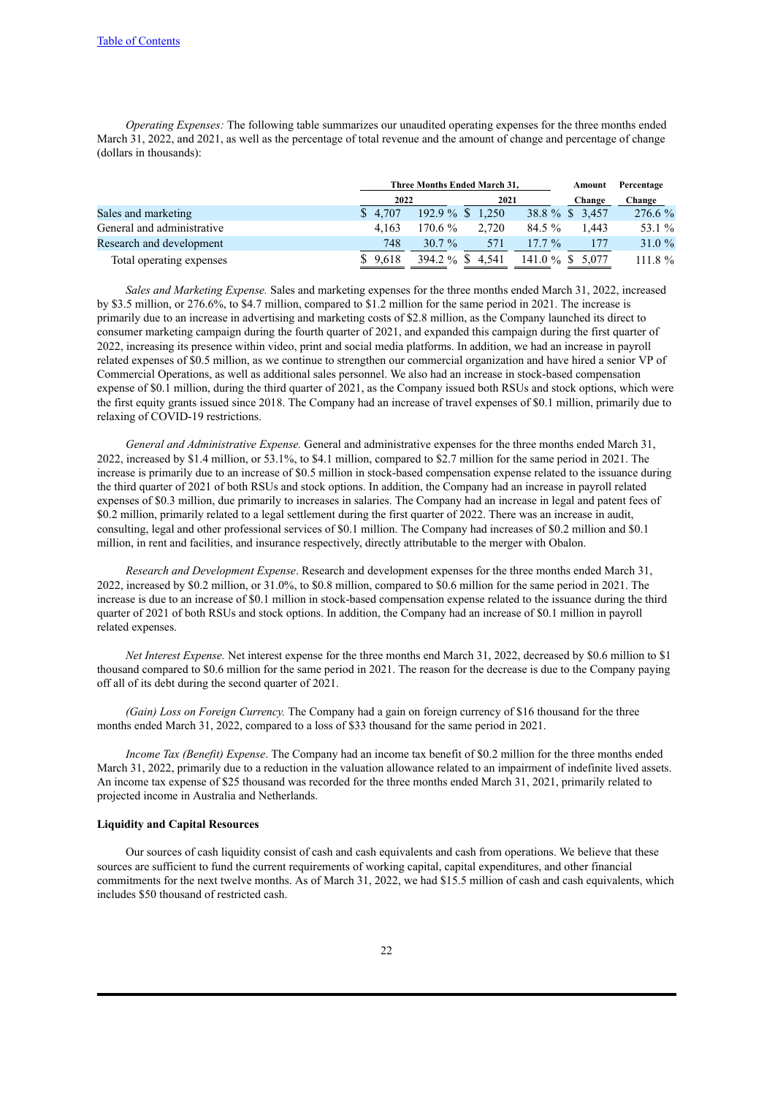*Operating Expenses:* The following table summarizes our unaudited operating expenses for the three months ended March 31, 2022, and 2021, as well as the percentage of total revenue and the amount of change and percentage of change (dollars in thousands):

|                            | Three Months Ended March 31, |                    |       |         | Amount             | Percentage |
|----------------------------|------------------------------|--------------------|-------|---------|--------------------|------------|
|                            | 2022                         |                    | 2021  |         | Change             | Change     |
| Sales and marketing        | \$4.707                      | $192.9\%$ \$ 1.250 |       |         | 38.8 % \$ 3.457    | 276.6 %    |
| General and administrative | 4.163                        | $170.6 \%$         | 2.720 | 84.5 %  | 1.443              | 53.1 %     |
| Research and development   | 748                          | $30.7\%$           | 571   | $177\%$ | 177                | 31.0%      |
| Total operating expenses   | 9.618                        | 394.2 % \$4,541    |       |         | $141.0\%$ \$ 5.077 | 111.8%     |

*Sales and Marketing Expense.* Sales and marketing expenses for the three months ended March 31, 2022, increased by \$3.5 million, or 276.6%, to \$4.7 million, compared to \$1.2 million for the same period in 2021. The increase is primarily due to an increase in advertising and marketing costs of \$2.8 million, as the Company launched its direct to consumer marketing campaign during the fourth quarter of 2021, and expanded this campaign during the first quarter of 2022, increasing its presence within video, print and social media platforms. In addition, we had an increase in payroll related expenses of \$0.5 million, as we continue to strengthen our commercial organization and have hired a senior VP of Commercial Operations, as well as additional sales personnel. We also had an increase in stock-based compensation expense of \$0.1 million, during the third quarter of 2021, as the Company issued both RSUs and stock options, which were the first equity grants issued since 2018. The Company had an increase of travel expenses of \$0.1 million, primarily due to relaxing of COVID-19 restrictions.

*General and Administrative Expense.* General and administrative expenses for the three months ended March 31, 2022, increased by \$1.4 million, or 53.1%, to \$4.1 million, compared to \$2.7 million for the same period in 2021. The increase is primarily due to an increase of \$0.5 million in stock-based compensation expense related to the issuance during the third quarter of 2021 of both RSUs and stock options. In addition, the Company had an increase in payroll related expenses of \$0.3 million, due primarily to increases in salaries. The Company had an increase in legal and patent fees of \$0.2 million, primarily related to a legal settlement during the first quarter of 2022. There was an increase in audit, consulting, legal and other professional services of \$0.1 million. The Company had increases of \$0.2 million and \$0.1 million, in rent and facilities, and insurance respectively, directly attributable to the merger with Obalon.

*Research and Development Expense*. Research and development expenses for the three months ended March 31, 2022, increased by \$0.2 million, or 31.0%, to \$0.8 million, compared to \$0.6 million for the same period in 2021. The increase is due to an increase of \$0.1 million in stock-based compensation expense related to the issuance during the third quarter of 2021 of both RSUs and stock options. In addition, the Company had an increase of \$0.1 million in payroll related expenses.

*Net Interest Expense.* Net interest expense for the three months end March 31, 2022, decreased by \$0.6 million to \$1 thousand compared to \$0.6 million for the same period in 2021. The reason for the decrease is due to the Company paying off all of its debt during the second quarter of 2021.

*(Gain) Loss on Foreign Currency.* The Company had a gain on foreign currency of \$16 thousand for the three months ended March 31, 2022, compared to a loss of \$33 thousand for the same period in 2021.

*Income Tax (Benefit) Expense*. The Company had an income tax benefit of \$0.2 million for the three months ended March 31, 2022, primarily due to a reduction in the valuation allowance related to an impairment of indefinite lived assets. An income tax expense of \$25 thousand was recorded for the three months ended March 31, 2021, primarily related to projected income in Australia and Netherlands.

#### **Liquidity and Capital Resources**

Our sources of cash liquidity consist of cash and cash equivalents and cash from operations. We believe that these sources are sufficient to fund the current requirements of working capital, capital expenditures, and other financial commitments for the next twelve months. As of March 31, 2022, we had \$15.5 million of cash and cash equivalents, which includes \$50 thousand of restricted cash.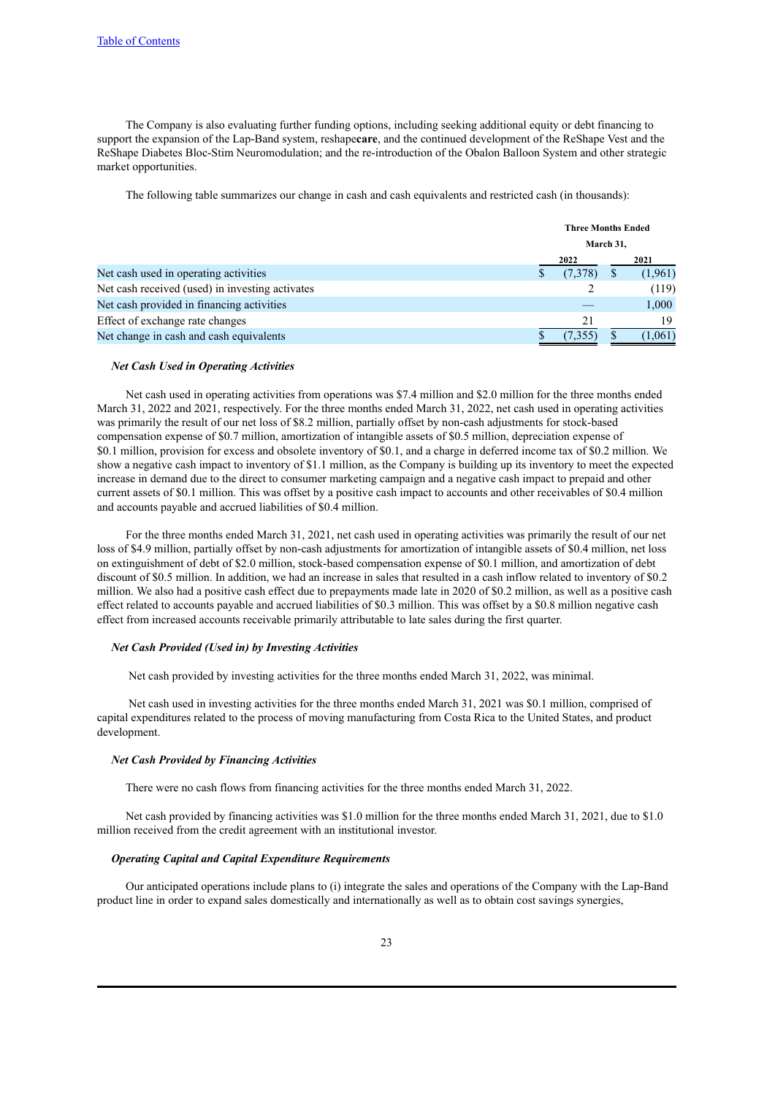The Company is also evaluating further funding options, including seeking additional equity or debt financing to support the expansion of the Lap-Band system, reshape**care**, and the continued development of the ReShape Vest and the ReShape Diabetes Bloc-Stim Neuromodulation; and the re-introduction of the Obalon Balloon System and other strategic market opportunities.

The following table summarizes our change in cash and cash equivalents and restricted cash (in thousands):

|                                                 | <b>Three Months Ended</b> |  |         |  |  |
|-------------------------------------------------|---------------------------|--|---------|--|--|
|                                                 | March 31,                 |  |         |  |  |
|                                                 | 2022                      |  | 2021    |  |  |
| Net cash used in operating activities           | (7,378)                   |  | (1,961) |  |  |
| Net cash received (used) in investing activates |                           |  | (119)   |  |  |
| Net cash provided in financing activities       |                           |  | 1,000   |  |  |
| Effect of exchange rate changes                 | 21                        |  | 19      |  |  |
| Net change in cash and cash equivalents         | 7.355                     |  | (1,061) |  |  |

#### *Net Cash Used in Operating Activities*

Net cash used in operating activities from operations was \$7.4 million and \$2.0 million for the three months ended March 31, 2022 and 2021, respectively. For the three months ended March 31, 2022, net cash used in operating activities was primarily the result of our net loss of \$8.2 million, partially offset by non-cash adjustments for stock-based compensation expense of \$0.7 million, amortization of intangible assets of \$0.5 million, depreciation expense of \$0.1 million, provision for excess and obsolete inventory of \$0.1, and a charge in deferred income tax of \$0.2 million. We show a negative cash impact to inventory of \$1.1 million, as the Company is building up its inventory to meet the expected increase in demand due to the direct to consumer marketing campaign and a negative cash impact to prepaid and other current assets of \$0.1 million. This was offset by a positive cash impact to accounts and other receivables of \$0.4 million and accounts payable and accrued liabilities of \$0.4 million.

For the three months ended March 31, 2021, net cash used in operating activities was primarily the result of our net loss of \$4.9 million, partially offset by non-cash adjustments for amortization of intangible assets of \$0.4 million, net loss on extinguishment of debt of \$2.0 million, stock-based compensation expense of \$0.1 million, and amortization of debt discount of \$0.5 million. In addition, we had an increase in sales that resulted in a cash inflow related to inventory of \$0.2 million. We also had a positive cash effect due to prepayments made late in 2020 of \$0.2 million, as well as a positive cash effect related to accounts payable and accrued liabilities of \$0.3 million. This was offset by a \$0.8 million negative cash effect from increased accounts receivable primarily attributable to late sales during the first quarter.

### *Net Cash Provided (Used in) by Investing Activities*

Net cash provided by investing activities for the three months ended March 31, 2022, was minimal.

Net cash used in investing activities for the three months ended March 31, 2021 was \$0.1 million, comprised of capital expenditures related to the process of moving manufacturing from Costa Rica to the United States, and product development.

#### *Net Cash Provided by Financing Activities*

There were no cash flows from financing activities for the three months ended March 31, 2022.

Net cash provided by financing activities was \$1.0 million for the three months ended March 31, 2021, due to \$1.0 million received from the credit agreement with an institutional investor.

#### *Operating Capital and Capital Expenditure Requirements*

Our anticipated operations include plans to (i) integrate the sales and operations of the Company with the Lap-Band product line in order to expand sales domestically and internationally as well as to obtain cost savings synergies,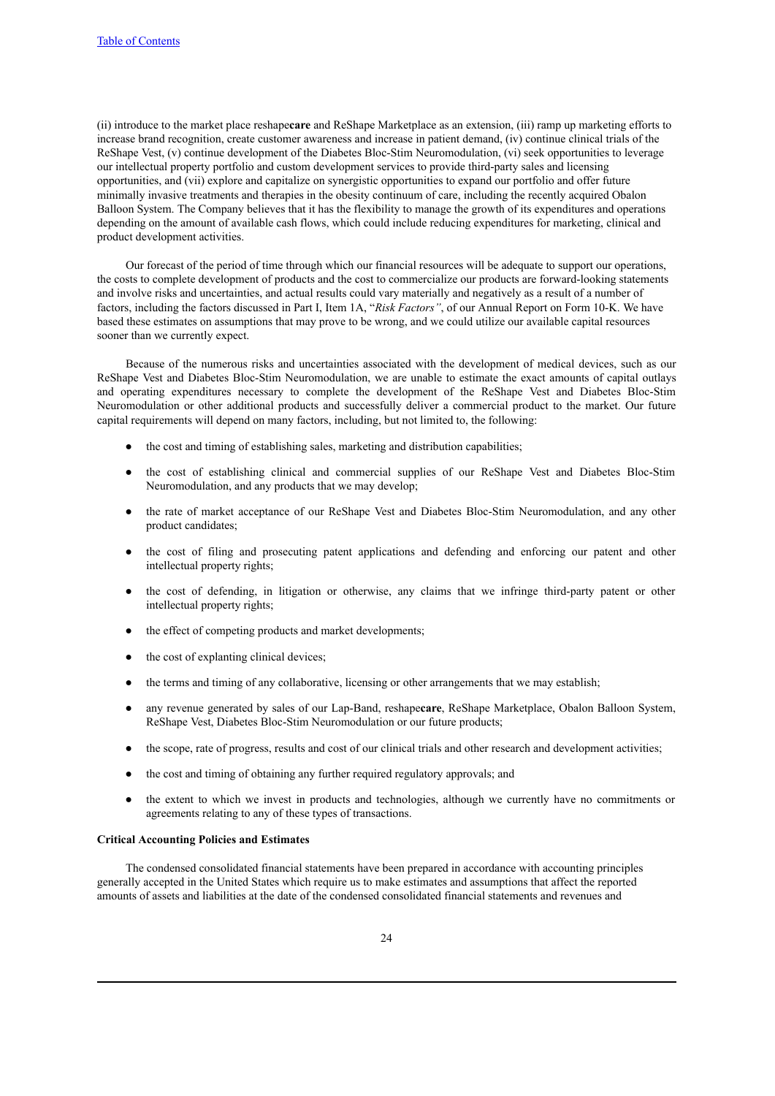(ii) introduce to the market place reshape**care** and ReShape Marketplace as an extension, (iii) ramp up marketing efforts to increase brand recognition, create customer awareness and increase in patient demand, (iv) continue clinical trials of the ReShape Vest, (v) continue development of the Diabetes Bloc-Stim Neuromodulation, (vi) seek opportunities to leverage our intellectual property portfolio and custom development services to provide third-party sales and licensing opportunities, and (vii) explore and capitalize on synergistic opportunities to expand our portfolio and offer future minimally invasive treatments and therapies in the obesity continuum of care, including the recently acquired Obalon Balloon System. The Company believes that it has the flexibility to manage the growth of its expenditures and operations depending on the amount of available cash flows, which could include reducing expenditures for marketing, clinical and product development activities.

Our forecast of the period of time through which our financial resources will be adequate to support our operations, the costs to complete development of products and the cost to commercialize our products are forward-looking statements and involve risks and uncertainties, and actual results could vary materially and negatively as a result of a number of factors, including the factors discussed in Part I, Item 1A, "*Risk Factors"*, of our Annual Report on Form 10-K. We have based these estimates on assumptions that may prove to be wrong, and we could utilize our available capital resources sooner than we currently expect.

Because of the numerous risks and uncertainties associated with the development of medical devices, such as our ReShape Vest and Diabetes Bloc-Stim Neuromodulation, we are unable to estimate the exact amounts of capital outlays and operating expenditures necessary to complete the development of the ReShape Vest and Diabetes Bloc-Stim Neuromodulation or other additional products and successfully deliver a commercial product to the market. Our future capital requirements will depend on many factors, including, but not limited to, the following:

- the cost and timing of establishing sales, marketing and distribution capabilities;
- the cost of establishing clinical and commercial supplies of our ReShape Vest and Diabetes Bloc-Stim Neuromodulation, and any products that we may develop;
- the rate of market acceptance of our ReShape Vest and Diabetes Bloc-Stim Neuromodulation, and any other product candidates;
- the cost of filing and prosecuting patent applications and defending and enforcing our patent and other intellectual property rights;
- the cost of defending, in litigation or otherwise, any claims that we infringe third-party patent or other intellectual property rights;
- the effect of competing products and market developments;
- the cost of explanting clinical devices;
- the terms and timing of any collaborative, licensing or other arrangements that we may establish;
- any revenue generated by sales of our Lap-Band, reshape**care**, ReShape Marketplace, Obalon Balloon System, ReShape Vest, Diabetes Bloc-Stim Neuromodulation or our future products;
- the scope, rate of progress, results and cost of our clinical trials and other research and development activities;
- the cost and timing of obtaining any further required regulatory approvals; and
- the extent to which we invest in products and technologies, although we currently have no commitments or agreements relating to any of these types of transactions.

#### **Critical Accounting Policies and Estimates**

The condensed consolidated financial statements have been prepared in accordance with accounting principles generally accepted in the United States which require us to make estimates and assumptions that affect the reported amounts of assets and liabilities at the date of the condensed consolidated financial statements and revenues and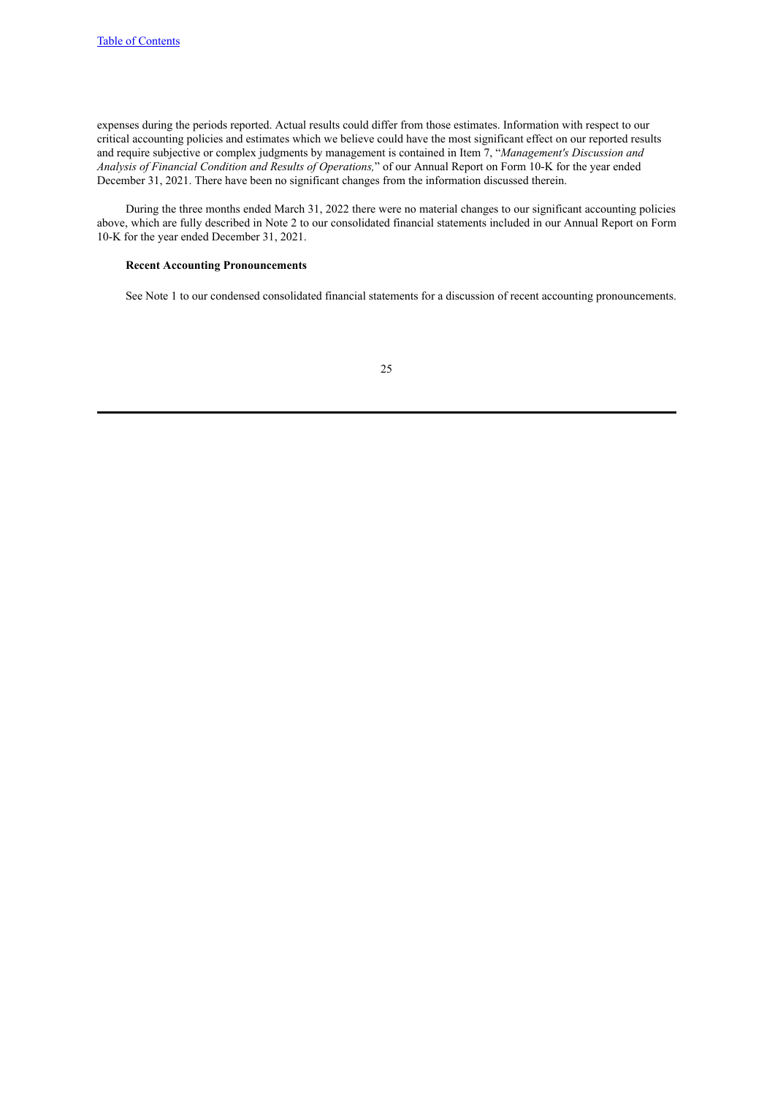expenses during the periods reported. Actual results could differ from those estimates. Information with respect to our critical accounting policies and estimates which we believe could have the most significant effect on our reported results and require subjective or complex judgments by management is contained in Item 7, "*Management's Discussion and Analysis of Financial Condition and Results of Operations,*" of our Annual Report on Form 10-K for the year ended December 31, 2021. There have been no significant changes from the information discussed therein.

During the three months ended March 31, 2022 there were no material changes to our significant accounting policies above, which are fully described in Note 2 to our consolidated financial statements included in our Annual Report on Form 10-K for the year ended December 31, 2021.

#### **Recent Accounting Pronouncements**

See Note 1 to our condensed consolidated financial statements for a discussion of recent accounting pronouncements.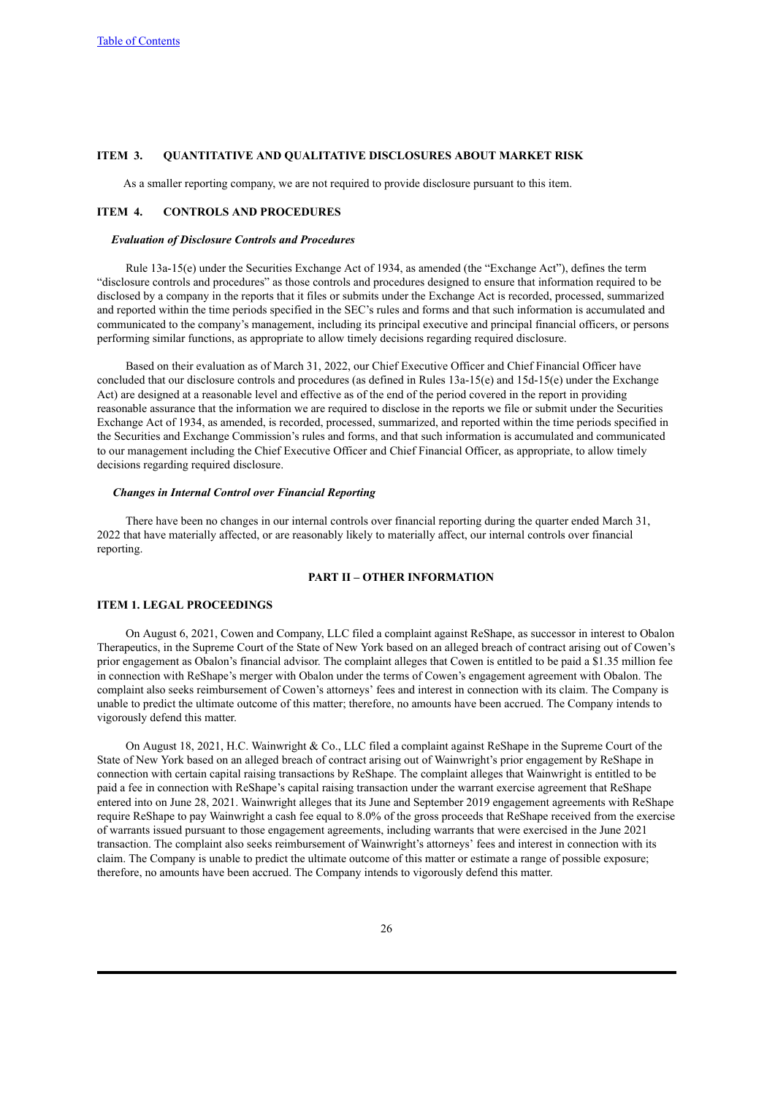## <span id="page-25-0"></span>**ITEM 3. QUANTITATIVE AND QUALITATIVE DISCLOSURES ABOUT MARKET RISK**

As a smaller reporting company, we are not required to provide disclosure pursuant to this item.

### <span id="page-25-1"></span>**ITEM 4. CONTROLS AND PROCEDURES**

#### *Evaluation of Disclosure Controls and Procedures*

Rule 13a-15(e) under the Securities Exchange Act of 1934, as amended (the "Exchange Act"), defines the term "disclosure controls and procedures" as those controls and procedures designed to ensure that information required to be disclosed by a company in the reports that it files or submits under the Exchange Act is recorded, processed, summarized and reported within the time periods specified in the SEC's rules and forms and that such information is accumulated and communicated to the company's management, including its principal executive and principal financial officers, or persons performing similar functions, as appropriate to allow timely decisions regarding required disclosure.

Based on their evaluation as of March 31, 2022, our Chief Executive Officer and Chief Financial Officer have concluded that our disclosure controls and procedures (as defined in Rules 13a-15(e) and 15d-15(e) under the Exchange Act) are designed at a reasonable level and effective as of the end of the period covered in the report in providing reasonable assurance that the information we are required to disclose in the reports we file or submit under the Securities Exchange Act of 1934, as amended, is recorded, processed, summarized, and reported within the time periods specified in the Securities and Exchange Commission's rules and forms, and that such information is accumulated and communicated to our management including the Chief Executive Officer and Chief Financial Officer, as appropriate, to allow timely decisions regarding required disclosure.

#### *Changes in Internal Control over Financial Reporting*

There have been no changes in our internal controls over financial reporting during the quarter ended March 31, 2022 that have materially affected, or are reasonably likely to materially affect, our internal controls over financial reporting.

## **PART II – OTHER INFORMATION**

## <span id="page-25-3"></span><span id="page-25-2"></span>**ITEM 1. LEGAL PROCEEDINGS**

On August 6, 2021, Cowen and Company, LLC filed a complaint against ReShape, as successor in interest to Obalon Therapeutics, in the Supreme Court of the State of New York based on an alleged breach of contract arising out of Cowen's prior engagement as Obalon's financial advisor. The complaint alleges that Cowen is entitled to be paid a \$1.35 million fee in connection with ReShape's merger with Obalon under the terms of Cowen's engagement agreement with Obalon. The complaint also seeks reimbursement of Cowen's attorneys' fees and interest in connection with its claim. The Company is unable to predict the ultimate outcome of this matter; therefore, no amounts have been accrued. The Company intends to vigorously defend this matter.

On August 18, 2021, H.C. Wainwright & Co., LLC filed a complaint against ReShape in the Supreme Court of the State of New York based on an alleged breach of contract arising out of Wainwright's prior engagement by ReShape in connection with certain capital raising transactions by ReShape. The complaint alleges that Wainwright is entitled to be paid a fee in connection with ReShape's capital raising transaction under the warrant exercise agreement that ReShape entered into on June 28, 2021. Wainwright alleges that its June and September 2019 engagement agreements with ReShape require ReShape to pay Wainwright a cash fee equal to 8.0% of the gross proceeds that ReShape received from the exercise of warrants issued pursuant to those engagement agreements, including warrants that were exercised in the June 2021 transaction. The complaint also seeks reimbursement of Wainwright's attorneys' fees and interest in connection with its claim. The Company is unable to predict the ultimate outcome of this matter or estimate a range of possible exposure; therefore, no amounts have been accrued. The Company intends to vigorously defend this matter.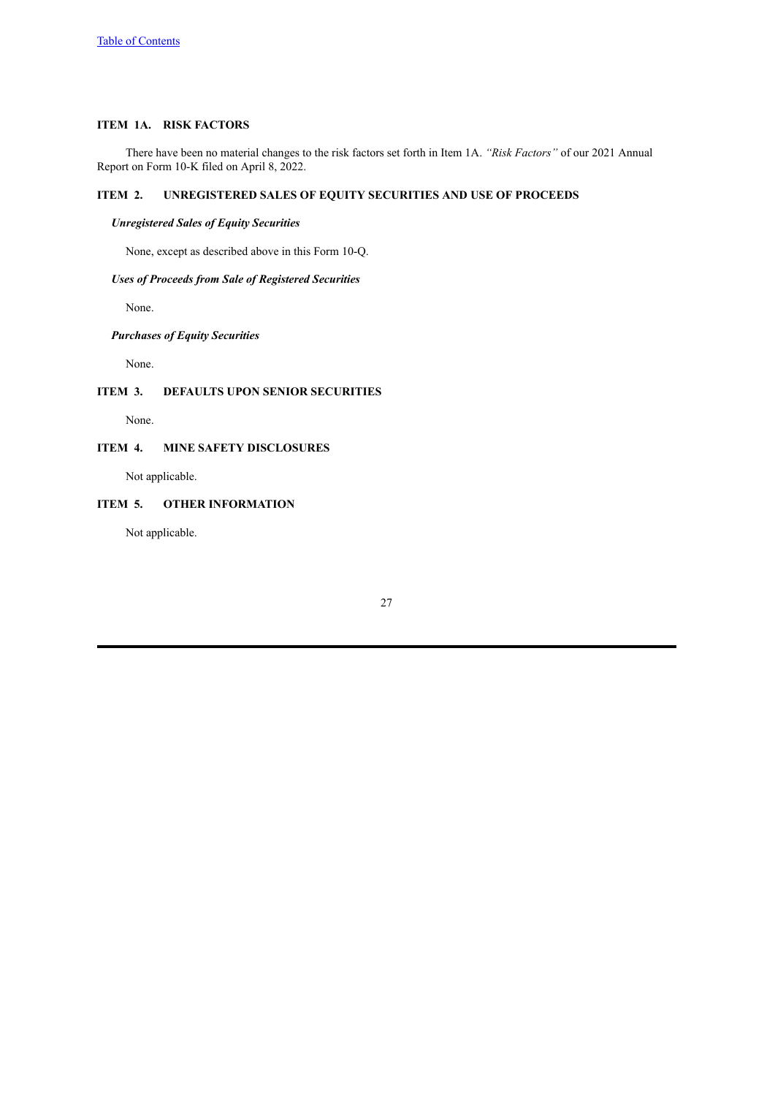# <span id="page-26-0"></span>**ITEM 1A. RISK FACTORS**

There have been no material changes to the risk factors set forth in Item 1A. *"Risk Factors"* of our 2021 Annual Report on Form 10-K filed on April 8, 2022.

# <span id="page-26-1"></span>**ITEM 2. UNREGISTERED SALES OF EQUITY SECURITIES AND USE OF PROCEEDS**

## *Unregistered Sales of Equity Securities*

None, except as described above in this Form 10-Q.

# *Uses of Proceeds from Sale of Registered Securities*

None.

### *Purchases of Equity Securities*

None.

## <span id="page-26-2"></span>**ITEM 3. DEFAULTS UPON SENIOR SECURITIES**

None.

## <span id="page-26-3"></span>**ITEM 4. MINE SAFETY DISCLOSURES**

Not applicable.

## <span id="page-26-4"></span>**ITEM 5. OTHER INFORMATION**

Not applicable.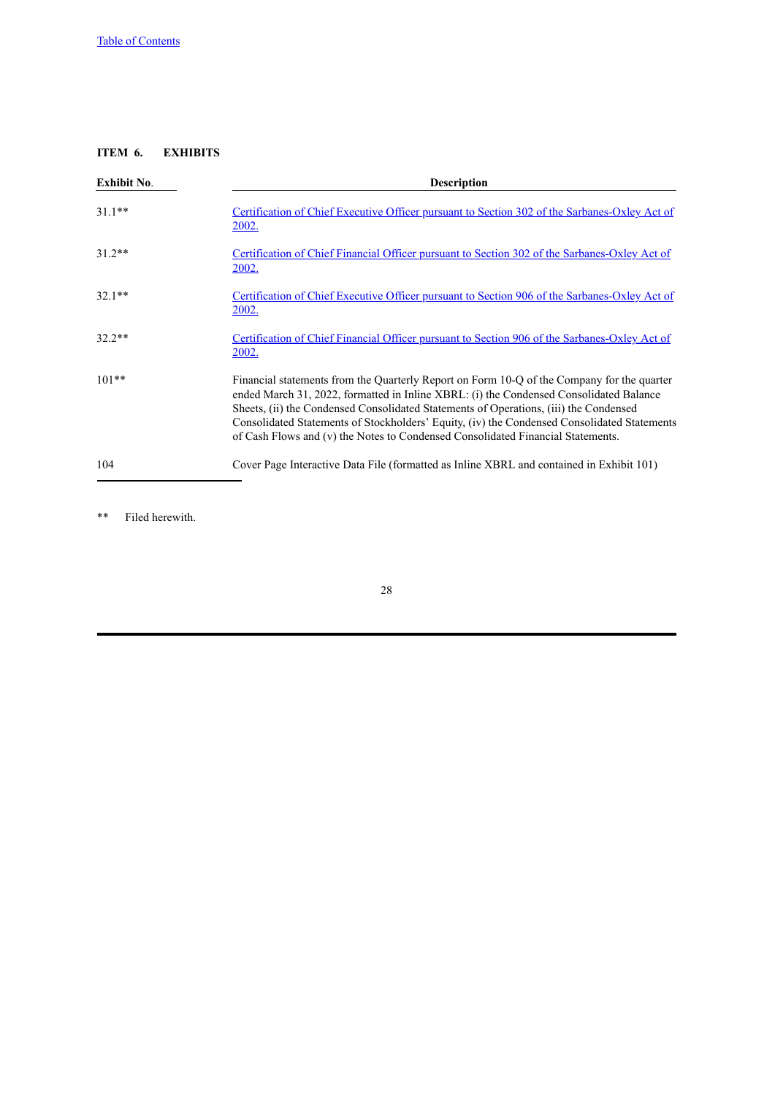# <span id="page-27-0"></span>**ITEM 6. EXHIBITS**

| <b>Exhibit No.</b> | <b>Description</b>                                                                                                                                                                                                                                                                                                                                                                                                                                              |
|--------------------|-----------------------------------------------------------------------------------------------------------------------------------------------------------------------------------------------------------------------------------------------------------------------------------------------------------------------------------------------------------------------------------------------------------------------------------------------------------------|
| $31.1**$           | Certification of Chief Executive Officer pursuant to Section 302 of the Sarbanes-Oxley Act of<br><u>2002.</u>                                                                                                                                                                                                                                                                                                                                                   |
| $31.2**$           | Certification of Chief Financial Officer pursuant to Section 302 of the Sarbanes-Oxley Act of<br>2002.                                                                                                                                                                                                                                                                                                                                                          |
| $32.1**$           | Certification of Chief Executive Officer pursuant to Section 906 of the Sarbanes-Oxley Act of<br>2002.                                                                                                                                                                                                                                                                                                                                                          |
| $32.2**$           | Certification of Chief Financial Officer pursuant to Section 906 of the Sarbanes-Oxley Act of<br>2002.                                                                                                                                                                                                                                                                                                                                                          |
| $101**$            | Financial statements from the Quarterly Report on Form 10-Q of the Company for the quarter<br>ended March 31, 2022, formatted in Inline XBRL: (i) the Condensed Consolidated Balance<br>Sheets, (ii) the Condensed Consolidated Statements of Operations, (iii) the Condensed<br>Consolidated Statements of Stockholders' Equity, (iv) the Condensed Consolidated Statements<br>of Cash Flows and (v) the Notes to Condensed Consolidated Financial Statements. |
| 104                | Cover Page Interactive Data File (formatted as Inline XBRL and contained in Exhibit 101)                                                                                                                                                                                                                                                                                                                                                                        |

\*\* Filed herewith.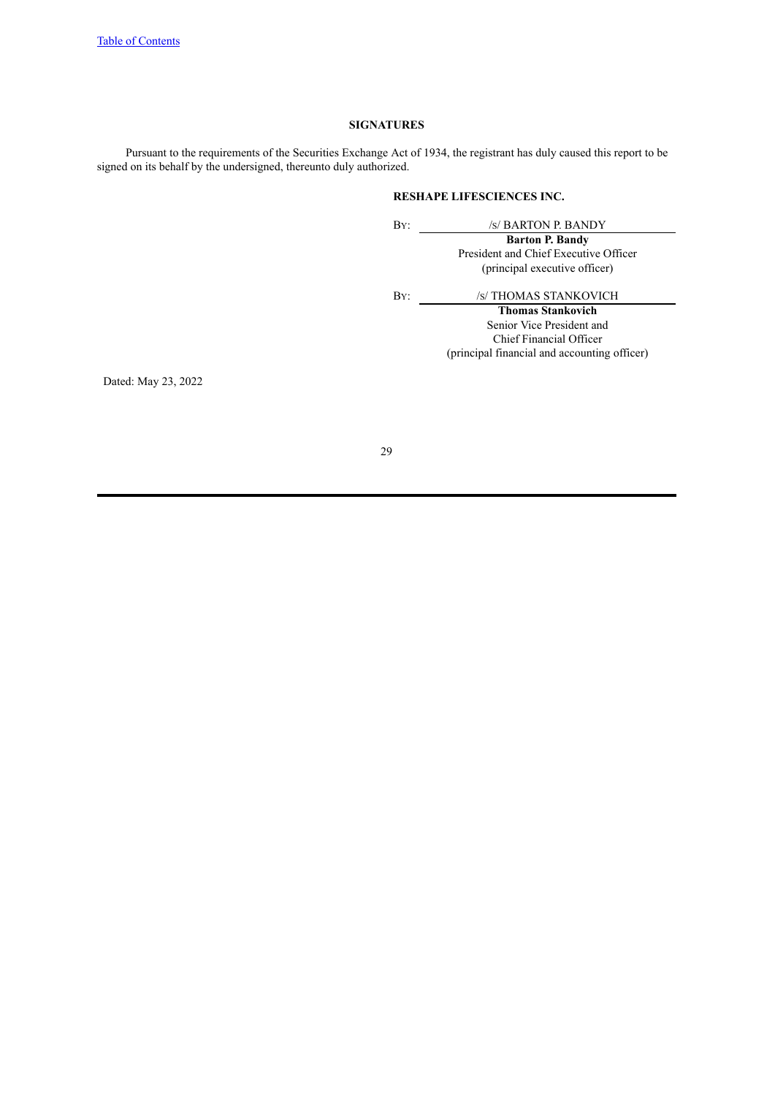## **SIGNATURES**

<span id="page-28-0"></span>Pursuant to the requirements of the Securities Exchange Act of 1934, the registrant has duly caused this report to be signed on its behalf by the undersigned, thereunto duly authorized.

# **RESHAPE LIFESCIENCES INC.**

BY: /s/ BARTON P. BANDY

**Barton P. Bandy** President and Chief Executive Officer (principal executive officer)

BY: /s/ THOMAS STANKOVICH

**Thomas Stankovich** Senior Vice President and Chief Financial Officer (principal financial and accounting officer)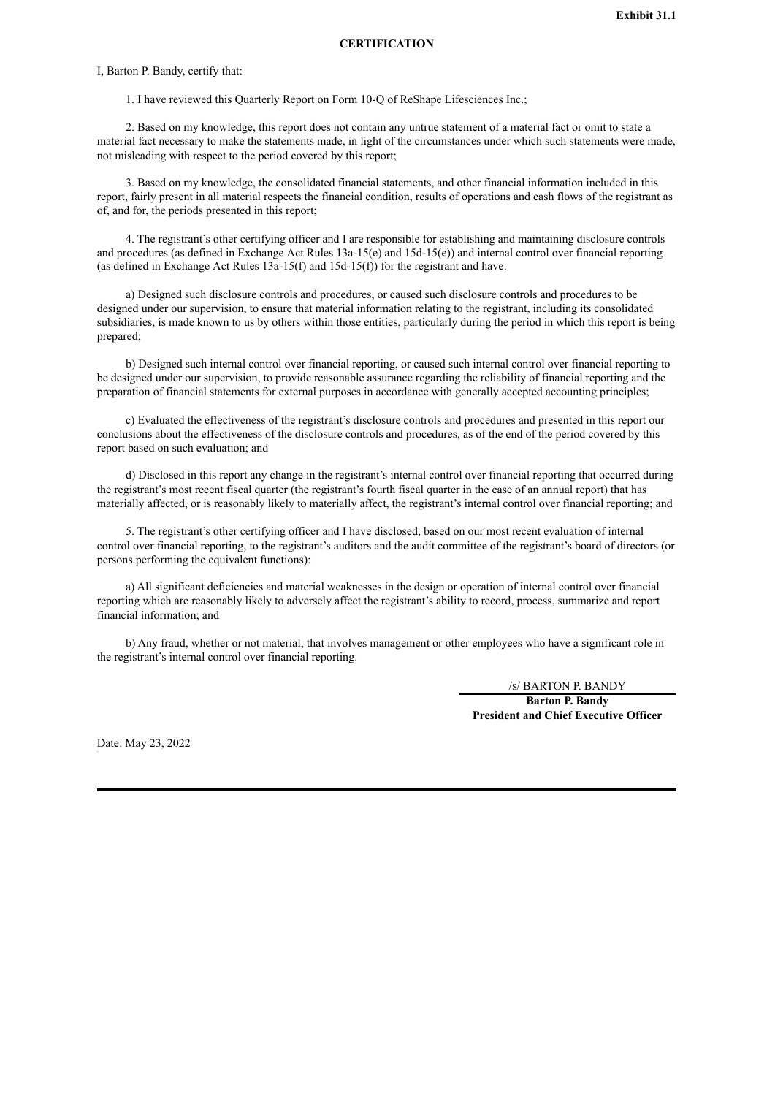#### <span id="page-29-0"></span>I, Barton P. Bandy, certify that:

1. I have reviewed this Quarterly Report on Form 10-Q of ReShape Lifesciences Inc.;

2. Based on my knowledge, this report does not contain any untrue statement of a material fact or omit to state a material fact necessary to make the statements made, in light of the circumstances under which such statements were made, not misleading with respect to the period covered by this report;

3. Based on my knowledge, the consolidated financial statements, and other financial information included in this report, fairly present in all material respects the financial condition, results of operations and cash flows of the registrant as of, and for, the periods presented in this report;

4. The registrant's other certifying officer and I are responsible for establishing and maintaining disclosure controls and procedures (as defined in Exchange Act Rules  $13a-15(e)$  and  $15d-15(e)$ ) and internal control over financial reporting (as defined in Exchange Act Rules  $13a-15(f)$  and  $15d-15(f)$ ) for the registrant and have:

a) Designed such disclosure controls and procedures, or caused such disclosure controls and procedures to be designed under our supervision, to ensure that material information relating to the registrant, including its consolidated subsidiaries, is made known to us by others within those entities, particularly during the period in which this report is being prepared;

b) Designed such internal control over financial reporting, or caused such internal control over financial reporting to be designed under our supervision, to provide reasonable assurance regarding the reliability of financial reporting and the preparation of financial statements for external purposes in accordance with generally accepted accounting principles;

c) Evaluated the effectiveness of the registrant's disclosure controls and procedures and presented in this report our conclusions about the effectiveness of the disclosure controls and procedures, as of the end of the period covered by this report based on such evaluation; and

d) Disclosed in this report any change in the registrant's internal control over financial reporting that occurred during the registrant's most recent fiscal quarter (the registrant's fourth fiscal quarter in the case of an annual report) that has materially affected, or is reasonably likely to materially affect, the registrant's internal control over financial reporting; and

5. The registrant's other certifying officer and I have disclosed, based on our most recent evaluation of internal control over financial reporting, to the registrant's auditors and the audit committee of the registrant's board of directors (or persons performing the equivalent functions):

a) All significant deficiencies and material weaknesses in the design or operation of internal control over financial reporting which are reasonably likely to adversely affect the registrant's ability to record, process, summarize and report financial information; and

b) Any fraud, whether or not material, that involves management or other employees who have a significant role in the registrant's internal control over financial reporting.

/S/ BARTON P. BANDY

**Barton P. Bandy President and Chief Executive Officer**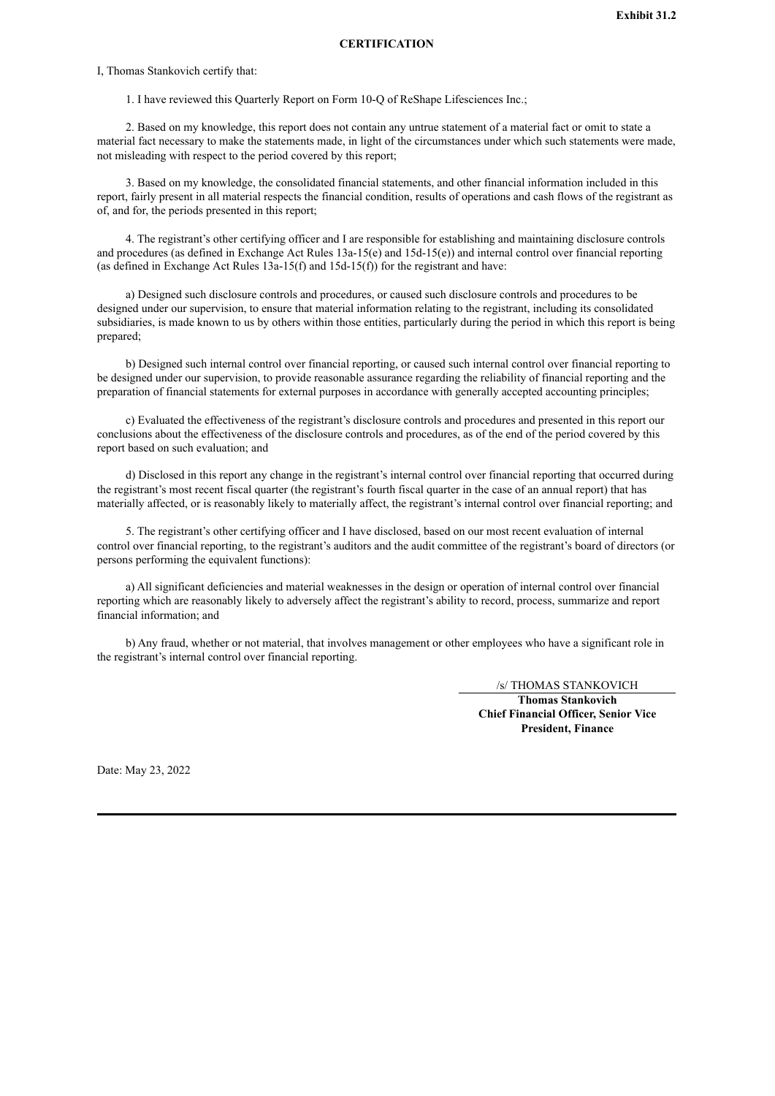#### <span id="page-30-0"></span>I, Thomas Stankovich certify that:

1. I have reviewed this Quarterly Report on Form 10-Q of ReShape Lifesciences Inc.;

2. Based on my knowledge, this report does not contain any untrue statement of a material fact or omit to state a material fact necessary to make the statements made, in light of the circumstances under which such statements were made, not misleading with respect to the period covered by this report;

3. Based on my knowledge, the consolidated financial statements, and other financial information included in this report, fairly present in all material respects the financial condition, results of operations and cash flows of the registrant as of, and for, the periods presented in this report;

4. The registrant's other certifying officer and I are responsible for establishing and maintaining disclosure controls and procedures (as defined in Exchange Act Rules  $13a-15(e)$  and  $15d-15(e)$ ) and internal control over financial reporting (as defined in Exchange Act Rules  $13a-15(f)$  and  $15d-15(f)$ ) for the registrant and have:

a) Designed such disclosure controls and procedures, or caused such disclosure controls and procedures to be designed under our supervision, to ensure that material information relating to the registrant, including its consolidated subsidiaries, is made known to us by others within those entities, particularly during the period in which this report is being prepared;

b) Designed such internal control over financial reporting, or caused such internal control over financial reporting to be designed under our supervision, to provide reasonable assurance regarding the reliability of financial reporting and the preparation of financial statements for external purposes in accordance with generally accepted accounting principles;

c) Evaluated the effectiveness of the registrant's disclosure controls and procedures and presented in this report our conclusions about the effectiveness of the disclosure controls and procedures, as of the end of the period covered by this report based on such evaluation; and

d) Disclosed in this report any change in the registrant's internal control over financial reporting that occurred during the registrant's most recent fiscal quarter (the registrant's fourth fiscal quarter in the case of an annual report) that has materially affected, or is reasonably likely to materially affect, the registrant's internal control over financial reporting; and

5. The registrant's other certifying officer and I have disclosed, based on our most recent evaluation of internal control over financial reporting, to the registrant's auditors and the audit committee of the registrant's board of directors (or persons performing the equivalent functions):

a) All significant deficiencies and material weaknesses in the design or operation of internal control over financial reporting which are reasonably likely to adversely affect the registrant's ability to record, process, summarize and report financial information; and

b) Any fraud, whether or not material, that involves management or other employees who have a significant role in the registrant's internal control over financial reporting.

/s/ THOMAS STANKOVICH

**Thomas Stankovich Chief Financial Officer, Senior Vice President, Finance**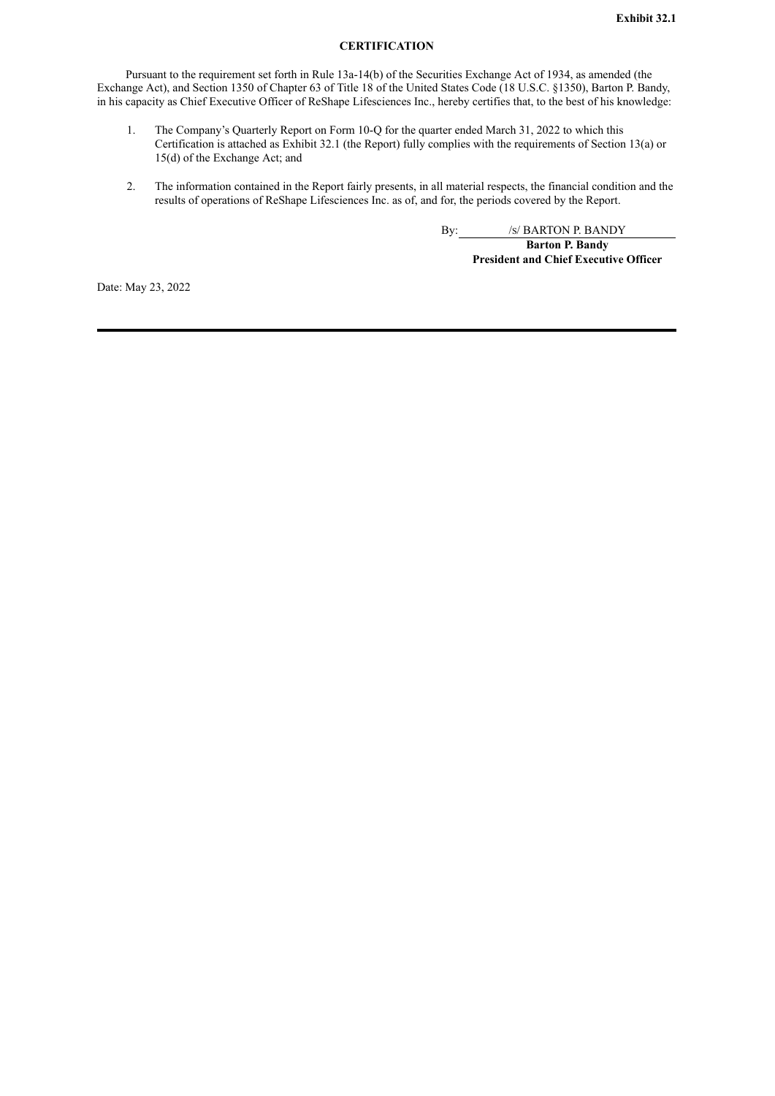<span id="page-31-0"></span>Pursuant to the requirement set forth in Rule 13a-14(b) of the Securities Exchange Act of 1934, as amended (the Exchange Act), and Section 1350 of Chapter 63 of Title 18 of the United States Code (18 U.S.C. §1350), Barton P. Bandy, in his capacity as Chief Executive Officer of ReShape Lifesciences Inc., hereby certifies that, to the best of his knowledge:

- 1. The Company's Quarterly Report on Form 10-Q for the quarter ended March 31, 2022 to which this Certification is attached as Exhibit 32.1 (the Report) fully complies with the requirements of Section 13(a) or 15(d) of the Exchange Act; and
- 2. The information contained in the Report fairly presents, in all material respects, the financial condition and the results of operations of ReShape Lifesciences Inc. as of, and for, the periods covered by the Report.

By: /S/ BARTON P. BANDY

**Barton P. Bandy President and Chief Executive Officer**